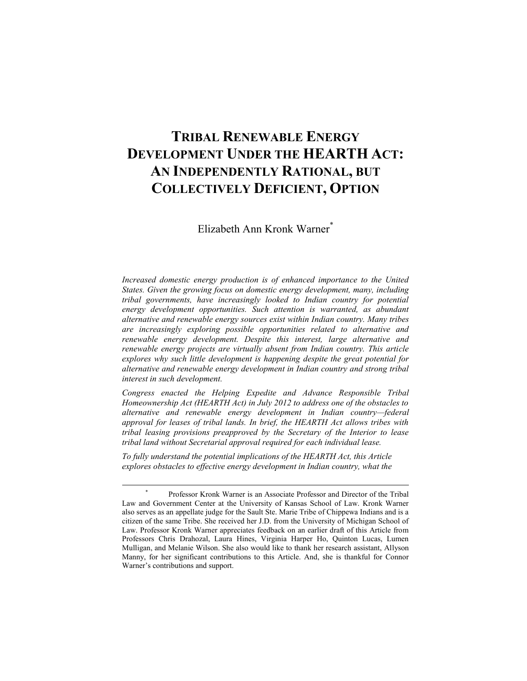# **TRIBAL RENEWABLE ENERGY DEVELOPMENT UNDER THE HEARTH ACT: AN INDEPENDENTLY RATIONAL, BUT COLLECTIVELY DEFICIENT, OPTION**

Elizabeth Ann Kronk Warner\*

*Increased domestic energy production is of enhanced importance to the United States. Given the growing focus on domestic energy development, many, including tribal governments, have increasingly looked to Indian country for potential energy development opportunities. Such attention is warranted, as abundant alternative and renewable energy sources exist within Indian country. Many tribes are increasingly exploring possible opportunities related to alternative and renewable energy development. Despite this interest, large alternative and renewable energy projects are virtually absent from Indian country. This article explores why such little development is happening despite the great potential for alternative and renewable energy development in Indian country and strong tribal interest in such development.*

*Congress enacted the Helping Expedite and Advance Responsible Tribal Homeownership Act (HEARTH Act) in July 2012 to address one of the obstacles to alternative and renewable energy development in Indian country—federal approval for leases of tribal lands. In brief, the HEARTH Act allows tribes with tribal leasing provisions preapproved by the Secretary of the Interior to lease tribal land without Secretarial approval required for each individual lease.*

*To fully understand the potential implications of the HEARTH Act, this Article explores obstacles to effective energy development in Indian country, what the* 

<sup>\*</sup> Professor Kronk Warner is an Associate Professor and Director of the Tribal Law and Government Center at the University of Kansas School of Law. Kronk Warner also serves as an appellate judge for the Sault Ste. Marie Tribe of Chippewa Indians and is a citizen of the same Tribe. She received her J.D. from the University of Michigan School of Law. Professor Kronk Warner appreciates feedback on an earlier draft of this Article from Professors Chris Drahozal, Laura Hines, Virginia Harper Ho, Quinton Lucas, Lumen Mulligan, and Melanie Wilson. She also would like to thank her research assistant, Allyson Manny, for her significant contributions to this Article. And, she is thankful for Connor Warner's contributions and support.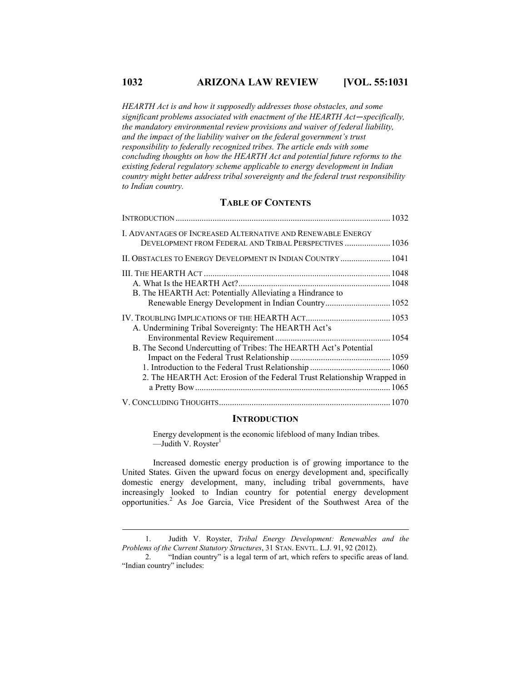# **1032 ARIZONA LAW REVIEW [VOL. 55:1031**

*HEARTH Act is and how it supposedly addresses those obstacles, and some significant problems associated with enactment of the HEARTH Act—specifically, the mandatory environmental review provisions and waiver of federal liability, and the impact of the liability waiver on the federal government's trust responsibility to federally recognized tribes. The article ends with some concluding thoughts on how the HEARTH Act and potential future reforms to the existing federal regulatory scheme applicable to energy development in Indian country might better address tribal sovereignty and the federal trust responsibility to Indian country.*

# **TABLE OF CONTENTS**

| I. ADVANTAGES OF INCREASED ALTERNATIVE AND RENEWABLE ENERGY<br>DEVELOPMENT FROM FEDERAL AND TRIBAL PERSPECTIVES  1036 |  |
|-----------------------------------------------------------------------------------------------------------------------|--|
| II. OBSTACLES TO ENERGY DEVELOPMENT IN INDIAN COUNTRY 1041                                                            |  |
|                                                                                                                       |  |
| B. The HEARTH Act: Potentially Alleviating a Hindrance to<br>Renewable Energy Development in Indian Country 1052      |  |
| A. Undermining Tribal Sovereignty: The HEARTH Act's                                                                   |  |
| B. The Second Undercutting of Tribes: The HEARTH Act's Potential                                                      |  |
|                                                                                                                       |  |
| 2. The HEARTH Act: Erosion of the Federal Trust Relationship Wrapped in                                               |  |
|                                                                                                                       |  |

#### **INTRODUCTION**

Energy development is the economic lifeblood of many Indian tribes. —Judith V. Royster $<sup>1</sup>$ </sup>

Increased domestic energy production is of growing importance to the United States. Given the upward focus on energy development and, specifically domestic energy development, many, including tribal governments, have increasingly looked to Indian country for potential energy development opportunities.<sup>2</sup> As Joe Garcia, Vice President of the Southwest Area of the

 <sup>1.</sup> Judith V. Royster, *Tribal Energy Development: Renewables and the Problems of the Current Statutory Structures*, 31 STAN. ENVTL. L.J. 91, 92 (2012).

 <sup>2.</sup> "Indian country" is a legal term of art, which refers to specific areas of land. "Indian country" includes: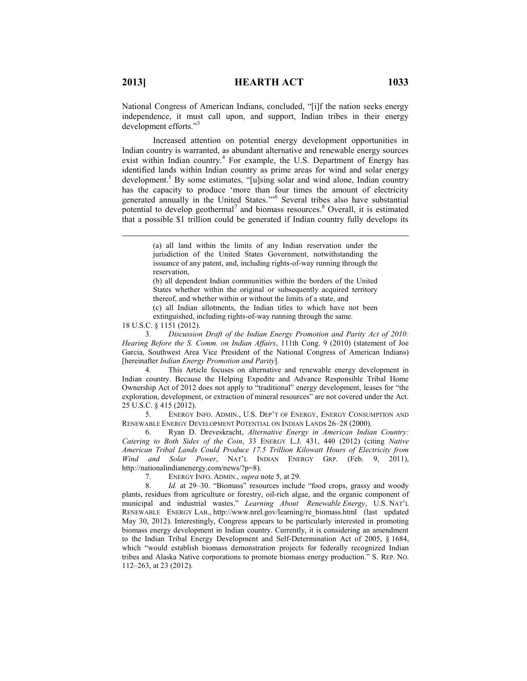National Congress of American Indians, concluded, "[i]f the nation seeks energy independence, it must call upon, and support, Indian tribes in their energy development efforts."<sup>3</sup>

Increased attention on potential energy development opportunities in Indian country is warranted, as abundant alternative and renewable energy sources exist within Indian country.<sup>4</sup> For example, the U.S. Department of Energy has identified lands within Indian country as prime areas for wind and solar energy development.<sup>5</sup> By some estimates, "[u]sing solar and wind alone, Indian country has the capacity to produce 'more than four times the amount of electricity generated annually in the United States.'"<sup>6</sup> Several tribes also have substantial potential to develop geothermal<sup>7</sup> and biomass resources.<sup>8</sup> Overall, it is estimated that a possible \$1 trillion could be generated if Indian country fully develops its

(b) all dependent Indian communities within the borders of the United States whether within the original or subsequently acquired territory thereof, and whether within or without the limits of a state, and

(c) all Indian allotments, the Indian titles to which have not been extinguished, including rights-of-way running through the same.

18 U.S.C. § 1151 (2012).

 $\overline{a}$ 

 3. *Discussion Draft of the Indian Energy Promotion and Parity Act of 2010: Hearing Before the S. Comm. on Indian Affairs*, 111th Cong. 9 (2010) (statement of Joe Garcia, Southwest Area Vice President of the National Congress of American Indians) [hereinafter *Indian Energy Promotion and Parity*].

 4. This Article focuses on alternative and renewable energy development in Indian country. Because the Helping Expedite and Advance Responsible Tribal Home Ownership Act of 2012 does not apply to "traditional" energy development, leases for "the exploration, development, or extraction of mineral resources" are not covered under the Act. 25 U.S.C. § 415 (2012).

 5. ENERGY INFO. ADMIN., U.S. DEP'T OF ENERGY, ENERGY CONSUMPTION AND RENEWABLE ENERGY DEVELOPMENT POTENTIAL ON INDIAN LANDS 26–28 (2000).

 6. Ryan D. Dreveskracht, *Alternative Energy in American Indian Country: Catering to Both Sides of the Coin*, 33 ENERGY L.J. 431, 440 (2012) (citing *Native American Tribal Lands Could Produce 17.5 Trillion Kilowatt Hours of Electricity from Wind and Solar Power*, NAT'L INDIAN ENERGY GRP. (Feb. 9, 2011), http://nationalindianenergy.com/news/?p=8).

7. ENERGY INFO. ADMIN., *supra* note 5, at 29.

 8. *Id.* at 29–30. "Biomass" resources include "food crops, grassy and woody plants, residues from agriculture or forestry, oil-rich algae, and the organic component of municipal and industrial wastes." *Learning About Renewable Energy*, U.S. NAT'L RENEWABLE ENERGY LAB., http://www.nrel.gov/learning/re\_biomass.html (last updated May 30, 2012). Interestingly, Congress appears to be particularly interested in promoting biomass energy development in Indian country. Currently, it is considering an amendment to the Indian Tribal Energy Development and Self-Determination Act of 2005, § 1684, which "would establish biomass demonstration projects for federally recognized Indian tribes and Alaska Native corporations to promote biomass energy production." S. REP. NO. 112–263, at 23 (2012).

<sup>(</sup>a) all land within the limits of any Indian reservation under the jurisdiction of the United States Government, notwithstanding the issuance of any patent, and, including rights-of-way running through the reservation,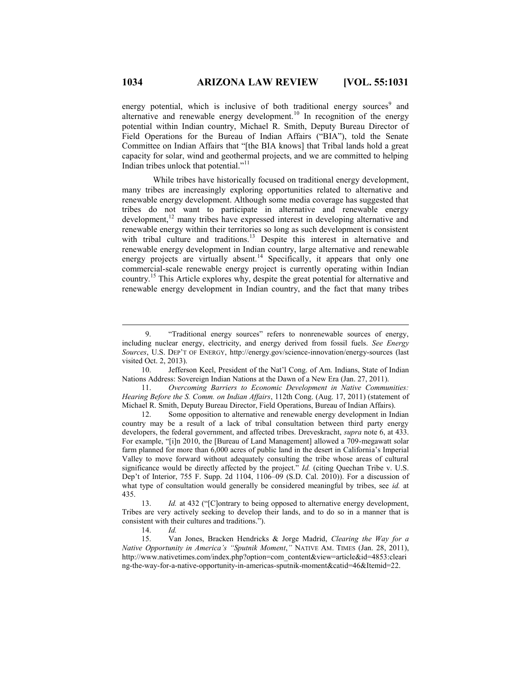energy potential, which is inclusive of both traditional energy sources<sup>9</sup> and alternative and renewable energy development.<sup>10</sup> In recognition of the energy potential within Indian country, Michael R. Smith, Deputy Bureau Director of Field Operations for the Bureau of Indian Affairs ("BIA"), told the Senate Committee on Indian Affairs that "[the BIA knows] that Tribal lands hold a great capacity for solar, wind and geothermal projects, and we are committed to helping Indian tribes unlock that potential."<sup>11</sup>

While tribes have historically focused on traditional energy development, many tribes are increasingly exploring opportunities related to alternative and renewable energy development. Although some media coverage has suggested that tribes do not want to participate in alternative and renewable energy development,<sup>12</sup> many tribes have expressed interest in developing alternative and renewable energy within their territories so long as such development is consistent with tribal culture and traditions.<sup>13</sup> Despite this interest in alternative and renewable energy development in Indian country, large alternative and renewable energy projects are virtually absent.<sup>14</sup> Specifically, it appears that only one commercial-scale renewable energy project is currently operating within Indian country.<sup>15</sup> This Article explores why, despite the great potential for alternative and renewable energy development in Indian country, and the fact that many tribes

 11. *Overcoming Barriers to Economic Development in Native Communities: Hearing Before the S. Comm. on Indian Affairs*, 112th Cong. (Aug. 17, 2011) (statement of Michael R. Smith, Deputy Bureau Director, Field Operations, Bureau of Indian Affairs).

 12. Some opposition to alternative and renewable energy development in Indian country may be a result of a lack of tribal consultation between third party energy developers, the federal government, and affected tribes. Dreveskracht, *supra* note 6, at 433. For example, "[i]n 2010, the [Bureau of Land Management] allowed a 709-megawatt solar farm planned for more than 6,000 acres of public land in the desert in California's Imperial Valley to move forward without adequately consulting the tribe whose areas of cultural significance would be directly affected by the project." *Id.* (citing Quechan Tribe v. U.S. Dep't of Interior, 755 F. Supp. 2d 1104, 1106–09 (S.D. Cal. 2010)). For a discussion of what type of consultation would generally be considered meaningful by tribes, see *id.* at 435.

14. *Id.*

 <sup>9.</sup> "Traditional energy sources" refers to nonrenewable sources of energy, including nuclear energy, electricity, and energy derived from fossil fuels. *See Energy Sources*, U.S. DEP'T OF ENERGY, http://energy.gov/science-innovation/energy-sources (last visited Oct. 2, 2013).

 <sup>10.</sup> Jefferson Keel, President of the Nat'l Cong. of Am. Indians, State of Indian Nations Address: Sovereign Indian Nations at the Dawn of a New Era (Jan. 27, 2011).

Id. at 432 ("[C]ontrary to being opposed to alternative energy development, Tribes are very actively seeking to develop their lands, and to do so in a manner that is consistent with their cultures and traditions.").

 <sup>15.</sup> Van Jones, Bracken Hendricks & Jorge Madrid, *Clearing the Way for a Native Opportunity in America's "Sputnik Moment*,*"* NATIVE AM. TIMES (Jan. 28, 2011), http://www.nativetimes.com/index.php?option=com\_content&view=article&id=4853:cleari ng-the-way-for-a-native-opportunity-in-americas-sputnik-moment&catid=46&Itemid=22.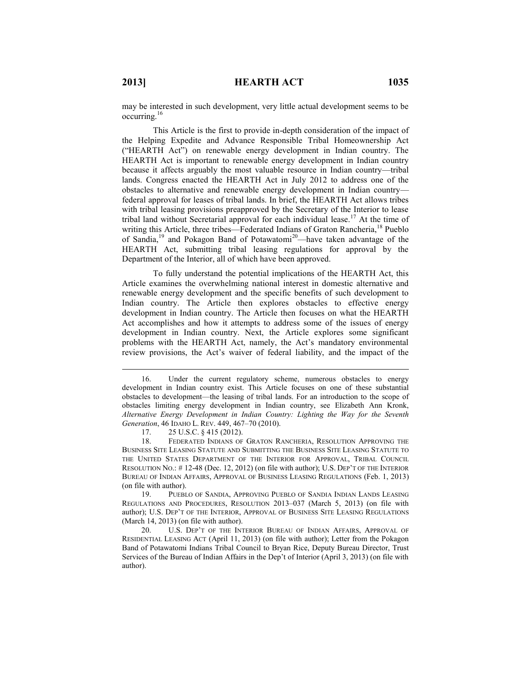$\overline{a}$ 

may be interested in such development, very little actual development seems to be occurring.<sup>16</sup>

This Article is the first to provide in-depth consideration of the impact of the Helping Expedite and Advance Responsible Tribal Homeownership Act ("HEARTH Act") on renewable energy development in Indian country. The HEARTH Act is important to renewable energy development in Indian country because it affects arguably the most valuable resource in Indian country—tribal lands. Congress enacted the HEARTH Act in July 2012 to address one of the obstacles to alternative and renewable energy development in Indian country federal approval for leases of tribal lands. In brief, the HEARTH Act allows tribes with tribal leasing provisions preapproved by the Secretary of the Interior to lease tribal land without Secretarial approval for each individual lease.<sup>17</sup> At the time of writing this Article, three tribes—Federated Indians of Graton Rancheria,<sup>18</sup> Pueblo of Sandia,<sup>19</sup> and Pokagon Band of Potawatomi<sup>20</sup>—have taken advantage of the HEARTH Act, submitting tribal leasing regulations for approval by the Department of the Interior, all of which have been approved.

To fully understand the potential implications of the HEARTH Act, this Article examines the overwhelming national interest in domestic alternative and renewable energy development and the specific benefits of such development to Indian country. The Article then explores obstacles to effective energy development in Indian country. The Article then focuses on what the HEARTH Act accomplishes and how it attempts to address some of the issues of energy development in Indian country. Next, the Article explores some significant problems with the HEARTH Act, namely, the Act's mandatory environmental review provisions, the Act's waiver of federal liability, and the impact of the

 19. PUEBLO OF SANDIA, APPROVING PUEBLO OF SANDIA INDIAN LANDS LEASING REGULATIONS AND PROCEDURES, RESOLUTION 2013–037 (March 5, 2013) (on file with author); U.S. DEP'T OF THE INTERIOR, APPROVAL OF BUSINESS SITE LEASING REGULATIONS (March 14, 2013) (on file with author).

 20. U.S. DEP'T OF THE INTERIOR BUREAU OF INDIAN AFFAIRS, APPROVAL OF RESIDENTIAL LEASING ACT (April 11, 2013) (on file with author); Letter from the Pokagon Band of Potawatomi Indians Tribal Council to Bryan Rice, Deputy Bureau Director, Trust Services of the Bureau of Indian Affairs in the Dep't of Interior (April 3, 2013) (on file with author).

 <sup>16.</sup> Under the current regulatory scheme, numerous obstacles to energy development in Indian country exist. This Article focuses on one of these substantial obstacles to development—the leasing of tribal lands. For an introduction to the scope of obstacles limiting energy development in Indian country, see Elizabeth Ann Kronk, *Alternative Energy Development in Indian Country: Lighting the Way for the Seventh Generation*, 46 IDAHO L. REV. 449, 467–70 (2010).

 <sup>17.</sup> 25 U.S.C. § 415 (2012).

 <sup>18.</sup> FEDERATED INDIANS OF GRATON RANCHERIA, RESOLUTION APPROVING THE BUSINESS SITE LEASING STATUTE AND SUBMITTING THE BUSINESS SITE LEASING STATUTE TO THE UNITED STATES DEPARTMENT OF THE INTERIOR FOR APPROVAL, TRIBAL COUNCIL RESOLUTION NO.: # 12-48 (Dec. 12, 2012) (on file with author); U.S. DEP'T OF THE INTERIOR BUREAU OF INDIAN AFFAIRS, APPROVAL OF BUSINESS LEASING REGULATIONS (Feb. 1, 2013) (on file with author).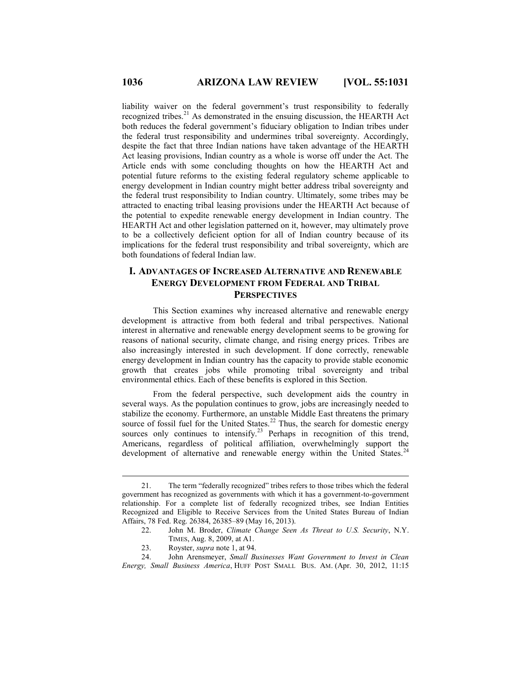liability waiver on the federal government's trust responsibility to federally recognized tribes.<sup>21</sup> As demonstrated in the ensuing discussion, the HEARTH Act both reduces the federal government's fiduciary obligation to Indian tribes under the federal trust responsibility and undermines tribal sovereignty. Accordingly, despite the fact that three Indian nations have taken advantage of the HEARTH Act leasing provisions, Indian country as a whole is worse off under the Act. The Article ends with some concluding thoughts on how the HEARTH Act and potential future reforms to the existing federal regulatory scheme applicable to energy development in Indian country might better address tribal sovereignty and the federal trust responsibility to Indian country. Ultimately, some tribes may be attracted to enacting tribal leasing provisions under the HEARTH Act because of the potential to expedite renewable energy development in Indian country. The HEARTH Act and other legislation patterned on it, however, may ultimately prove to be a collectively deficient option for all of Indian country because of its implications for the federal trust responsibility and tribal sovereignty, which are both foundations of federal Indian law.

# **I. ADVANTAGES OF INCREASED ALTERNATIVE AND RENEWABLE ENERGY DEVELOPMENT FROM FEDERAL AND TRIBAL PERSPECTIVES**

This Section examines why increased alternative and renewable energy development is attractive from both federal and tribal perspectives. National interest in alternative and renewable energy development seems to be growing for reasons of national security, climate change, and rising energy prices. Tribes are also increasingly interested in such development. If done correctly, renewable energy development in Indian country has the capacity to provide stable economic growth that creates jobs while promoting tribal sovereignty and tribal environmental ethics. Each of these benefits is explored in this Section.

From the federal perspective, such development aids the country in several ways. As the population continues to grow, jobs are increasingly needed to stabilize the economy. Furthermore, an unstable Middle East threatens the primary source of fossil fuel for the United States. $^{22}$  Thus, the search for domestic energy sources only continues to intensify.<sup>23</sup> Perhaps in recognition of this trend, Americans, regardless of political affiliation, overwhelmingly support the development of alternative and renewable energy within the United States. $24$ 

 <sup>21.</sup> The term "federally recognized" tribes refers to those tribes which the federal government has recognized as governments with which it has a government-to-government relationship. For a complete list of federally recognized tribes, see Indian Entities Recognized and Eligible to Receive Services from the United States Bureau of Indian Affairs, 78 Fed. Reg. 26384, 26385–89 (May 16, 2013).

 <sup>22.</sup> John M. Broder, *Climate Change Seen As Threat to U.S. Security*, N.Y. TIMES, Aug. 8, 2009, at A1.

 <sup>23.</sup> Royster, *supra* note 1, at 94.

 <sup>24.</sup> John Arensmeyer, *Small Businesses Want Government to Invest in Clean Energy, Small Business America*, HUFF POST SMALL BUS. AM. (Apr. 30, 2012, 11:15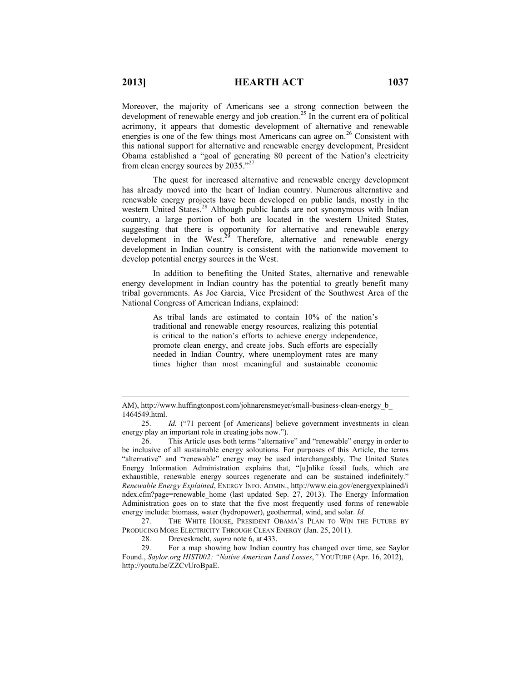Moreover, the majority of Americans see a strong connection between the development of renewable energy and job creation.<sup>25</sup> In the current era of political acrimony, it appears that domestic development of alternative and renewable energies is one of the few things most Americans can agree on.<sup>26</sup> Consistent with this national support for alternative and renewable energy development, President Obama established a "goal of generating 80 percent of the Nation's electricity from clean energy sources by 2035."<sup>27</sup>

The quest for increased alternative and renewable energy development has already moved into the heart of Indian country. Numerous alternative and renewable energy projects have been developed on public lands, mostly in the western United States.<sup>28</sup> Although public lands are not synonymous with Indian country, a large portion of both are located in the western United States, suggesting that there is opportunity for alternative and renewable energy development in the West. $^{29}$  Therefore, alternative and renewable energy development in Indian country is consistent with the nationwide movement to develop potential energy sources in the West.

In addition to benefiting the United States, alternative and renewable energy development in Indian country has the potential to greatly benefit many tribal governments. As Joe Garcia, Vice President of the Southwest Area of the National Congress of American Indians, explained:

> As tribal lands are estimated to contain 10% of the nation's traditional and renewable energy resources, realizing this potential is critical to the nation's efforts to achieve energy independence, promote clean energy, and create jobs. Such efforts are especially needed in Indian Country, where unemployment rates are many times higher than most meaningful and sustainable economic

 27. THE WHITE HOUSE, PRESIDENT OBAMA'S PLAN TO WIN THE FUTURE BY PRODUCING MORE ELECTRICITY THROUGH CLEAN ENERGY (Jan. 25, 2011).

28. Dreveskracht, *supra* note 6, at 433.

 29. For a map showing how Indian country has changed over time, see Saylor Found., *Saylor.org HIST002: "Native American Land Losses*,*"* YOUTUBE (Apr. 16, 2012), http://youtu.be/ZZCvUroBpaE.

AM), http://www.huffingtonpost.com/johnarensmeyer/small-business-clean-energy\_b\_ 1464549.html.

 <sup>25.</sup> *Id.* ("71 percent [of Americans] believe government investments in clean energy play an important role in creating jobs now.").

 <sup>26.</sup> This Article uses both terms "alternative" and "renewable" energy in order to be inclusive of all sustainable energy soloutions. For purposes of this Article, the terms "alternative" and "renewable" energy may be used interchangeably. The United States Energy Information Administration explains that, "[u]nlike fossil fuels, which are exhaustible, renewable energy sources regenerate and can be sustained indefinitely." *Renewable Energy Explained*, ENERGY INFO. ADMIN., http://www.eia.gov/energyexplained/i ndex.cfm?page=renewable\_home (last updated Sep. 27, 2013). The Energy Information Administration goes on to state that the five most frequently used forms of renewable energy include: biomass, water (hydropower), geothermal, wind, and solar. *Id.*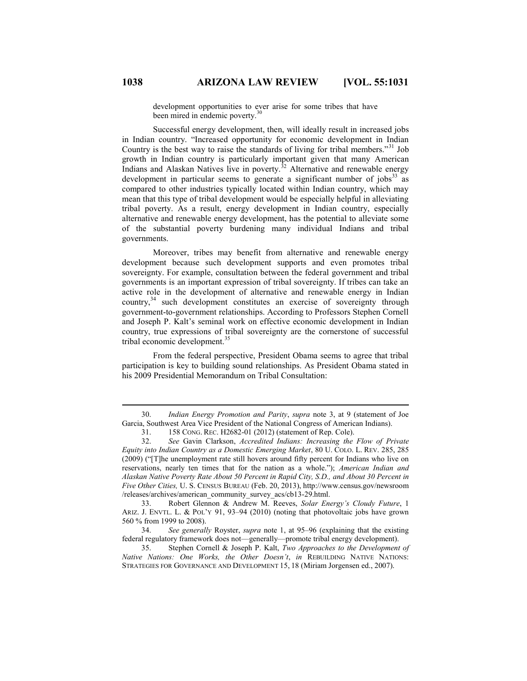development opportunities to ever arise for some tribes that have been mired in endemic poverty.<sup>3</sup>

Successful energy development, then, will ideally result in increased jobs in Indian country. "Increased opportunity for economic development in Indian Country is the best way to raise the standards of living for tribal members.<sup>31</sup> Job growth in Indian country is particularly important given that many American Indians and Alaskan Natives live in poverty.<sup>32</sup> Alternative and renewable energy development in particular seems to generate a significant number of  $i$ obs<sup>33</sup> as compared to other industries typically located within Indian country, which may mean that this type of tribal development would be especially helpful in alleviating tribal poverty. As a result, energy development in Indian country, especially alternative and renewable energy development, has the potential to alleviate some of the substantial poverty burdening many individual Indians and tribal governments.

Moreover, tribes may benefit from alternative and renewable energy development because such development supports and even promotes tribal sovereignty. For example, consultation between the federal government and tribal governments is an important expression of tribal sovereignty. If tribes can take an active role in the development of alternative and renewable energy in Indian country,<sup>34</sup> such development constitutes an exercise of sovereignty through government-to-government relationships. According to Professors Stephen Cornell and Joseph P. Kalt's seminal work on effective economic development in Indian country, true expressions of tribal sovereignty are the cornerstone of successful tribal economic development.<sup>35</sup>

From the federal perspective, President Obama seems to agree that tribal participation is key to building sound relationships. As President Obama stated in his 2009 Presidential Memorandum on Tribal Consultation:

 35. Stephen Cornell & Joseph P. Kalt, *Two Approaches to the Development of Native Nations: One Works, the Other Doesn't*, *in* REBUILDING NATIVE NATIONS: STRATEGIES FOR GOVERNANCE AND DEVELOPMENT 15, 18 (Miriam Jorgensen ed., 2007).

 <sup>30.</sup> *Indian Energy Promotion and Parity*, *supra* note 3, at 9 (statement of Joe Garcia, Southwest Area Vice President of the National Congress of American Indians).

 <sup>31.</sup> 158 CONG. REC. H2682-01 (2012) (statement of Rep. Cole).

 <sup>32.</sup> *See* Gavin Clarkson, *Accredited Indians: Increasing the Flow of Private Equity into Indian Country as a Domestic Emerging Market*, 80 U. COLO. L. REV. 285, 285 (2009) ("[T]he unemployment rate still hovers around fifty percent for Indians who live on reservations, nearly ten times that for the nation as a whole."); *American Indian and Alaskan Native Poverty Rate About 50 Percent in Rapid City, S.D., and About 30 Percent in Five Other Cities,* U. S. CENSUS BUREAU (Feb. 20, 2013), http://www.census.gov/newsroom /releases/archives/american\_community\_survey\_acs/cb13-29.html.

 <sup>33.</sup> Robert Glennon & Andrew M. Reeves, *Solar Energy's Cloudy Future*, 1 ARIZ. J. ENVTL. L. & POL'Y 91, 93–94 (2010) (noting that photovoltaic jobs have grown 560 % from 1999 to 2008).

 <sup>34.</sup> *See generally* Royster, *supra* note 1, at 95–96 (explaining that the existing federal regulatory framework does not—generally—promote tribal energy development).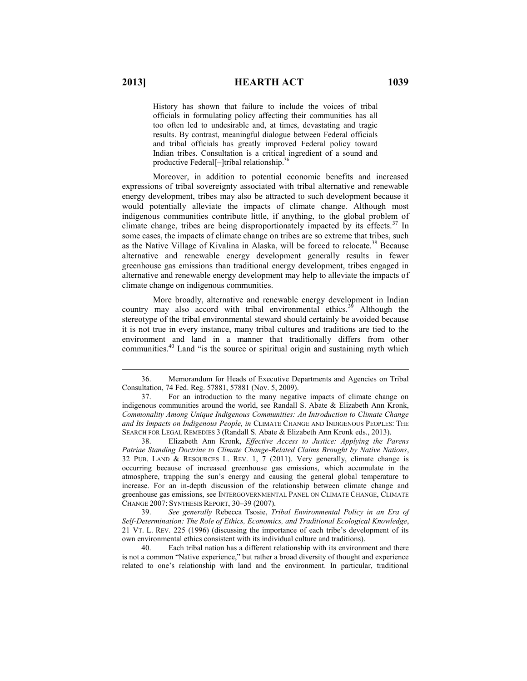History has shown that failure to include the voices of tribal officials in formulating policy affecting their communities has all too often led to undesirable and, at times, devastating and tragic results. By contrast, meaningful dialogue between Federal officials and tribal officials has greatly improved Federal policy toward Indian tribes. Consultation is a critical ingredient of a sound and productive Federal[-]tribal relationship.<sup>36</sup>

Moreover, in addition to potential economic benefits and increased expressions of tribal sovereignty associated with tribal alternative and renewable energy development, tribes may also be attracted to such development because it would potentially alleviate the impacts of climate change. Although most indigenous communities contribute little, if anything, to the global problem of climate change, tribes are being disproportionately impacted by its effects.<sup>37</sup> In some cases, the impacts of climate change on tribes are so extreme that tribes, such as the Native Village of Kivalina in Alaska, will be forced to relocate.<sup>38</sup> Because alternative and renewable energy development generally results in fewer greenhouse gas emissions than traditional energy development, tribes engaged in alternative and renewable energy development may help to alleviate the impacts of climate change on indigenous communities.

More broadly, alternative and renewable energy development in Indian country may also accord with tribal environmental ethics.<sup>39</sup> Although the stereotype of the tribal environmental steward should certainly be avoided because it is not true in every instance, many tribal cultures and traditions are tied to the environment and land in a manner that traditionally differs from other communities.<sup>40</sup> Land "is the source or spiritual origin and sustaining myth which

 38. Elizabeth Ann Kronk, *Effective Access to Justice: Applying the Parens Patriae Standing Doctrine to Climate Change-Related Claims Brought by Native Nations*, 32 PUB. LAND & RESOURCES L. REV. 1, 7 (2011). Very generally, climate change is occurring because of increased greenhouse gas emissions, which accumulate in the atmosphere, trapping the sun's energy and causing the general global temperature to increase. For an in-depth discussion of the relationship between climate change and greenhouse gas emissions, see INTERGOVERNMENTAL PANEL ON CLIMATE CHANGE, CLIMATE CHANGE 2007: SYNTHESIS REPORT, 30–39 (2007).

 39. *See generally* Rebecca Tsosie, *Tribal Environmental Policy in an Era of Self-Determination: The Role of Ethics, Economics, and Traditional Ecological Knowledge*, 21 VT. L. REV. 225 (1996) (discussing the importance of each tribe's development of its own environmental ethics consistent with its individual culture and traditions).

 40. Each tribal nation has a different relationship with its environment and there is not a common "Native experience," but rather a broad diversity of thought and experience related to one's relationship with land and the environment. In particular, traditional

 <sup>36.</sup> Memorandum for Heads of Executive Departments and Agencies on Tribal Consultation, 74 Fed. Reg. 57881, 57881 (Nov. 5, 2009).

 <sup>37.</sup> For an introduction to the many negative impacts of climate change on indigenous communities around the world, see Randall S. Abate & Elizabeth Ann Kronk, *Commonality Among Unique Indigenous Communities: An Introduction to Climate Change and Its Impacts on Indigenous People, in* CLIMATE CHANGE AND INDIGENOUS PEOPLES: THE SEARCH FOR LEGAL REMEDIES 3 (Randall S. Abate & Elizabeth Ann Kronk eds., 2013).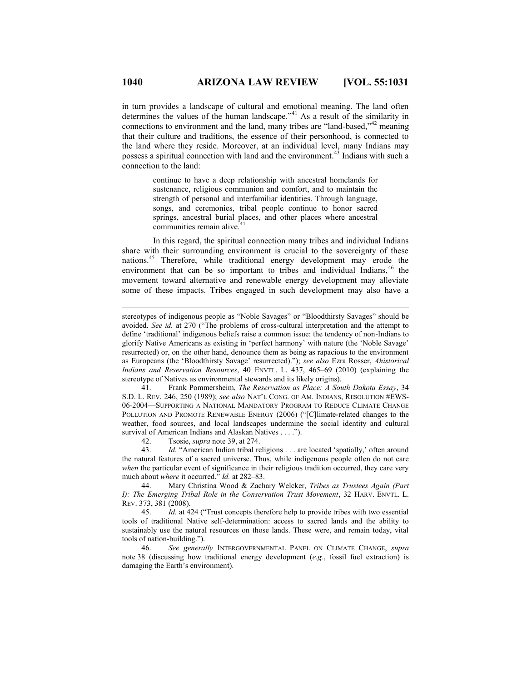in turn provides a landscape of cultural and emotional meaning. The land often determines the values of the human landscape."<sup>41</sup> As a result of the similarity in connections to environment and the land, many tribes are "land-based,"<sup>42</sup> meaning that their culture and traditions, the essence of their personhood, is connected to the land where they reside. Moreover, at an individual level, many Indians may possess a spiritual connection with land and the environment.<sup>43</sup> Indians with such a connection to the land:

> continue to have a deep relationship with ancestral homelands for sustenance, religious communion and comfort, and to maintain the strength of personal and interfamiliar identities. Through language, songs, and ceremonies, tribal people continue to honor sacred springs, ancestral burial places, and other places where ancestral communities remain alive.<sup>44</sup>

In this regard, the spiritual connection many tribes and individual Indians share with their surrounding environment is crucial to the sovereignty of these nations. <sup>45</sup> Therefore, while traditional energy development may erode the environment that can be so important to tribes and individual Indians,  $46$  the movement toward alternative and renewable energy development may alleviate some of these impacts. Tribes engaged in such development may also have a

 41. Frank Pommersheim, *The Reservation as Place: A South Dakota Essay*, 34 S.D. L. REV. 246, 250 (1989); *see also* NAT'L CONG. OF AM. INDIANS, RESOLUTION #EWS-06-2004—SUPPORTING A NATIONAL MANDATORY PROGRAM TO REDUCE CLIMATE CHANGE POLLUTION AND PROMOTE RENEWABLE ENERGY (2006) ("[C]limate-related changes to the weather, food sources, and local landscapes undermine the social identity and cultural survival of American Indians and Alaskan Natives . . . .").

42. Tsosie, *supra* note 39, at 274.

 43. *Id.* "American Indian tribal religions . . . are located 'spatially,' often around the natural features of a sacred universe. Thus, while indigenous people often do not care *when* the particular event of significance in their religious tradition occurred, they care very much about *where* it occurred." *Id.* at 282–83.

 44. Mary Christina Wood & Zachary Welcker, *Tribes as Trustees Again (Part I): The Emerging Tribal Role in the Conservation Trust Movement*, 32 HARV. ENVTL. L. REV. 373, 381 (2008).

 45. *Id.* at 424 ("Trust concepts therefore help to provide tribes with two essential tools of traditional Native self-determination: access to sacred lands and the ability to sustainably use the natural resources on those lands. These were, and remain today, vital tools of nation-building.").

 46. *See generally* INTERGOVERNMENTAL PANEL ON CLIMATE CHANGE, *supra*  note 38 (discussing how traditional energy development (*e.g.*, fossil fuel extraction) is damaging the Earth's environment).

stereotypes of indigenous people as "Noble Savages" or "Bloodthirsty Savages" should be avoided. *See id.* at 270 ("The problems of cross-cultural interpretation and the attempt to define 'traditional' indigenous beliefs raise a common issue: the tendency of non-Indians to glorify Native Americans as existing in 'perfect harmony' with nature (the 'Noble Savage' resurrected) or, on the other hand, denounce them as being as rapacious to the environment as Europeans (the 'Bloodthirsty Savage' resurrected)."); *see also* Ezra Rosser, *Ahistorical Indians and Reservation Resources*, 40 ENVTL. L. 437, 465–69 (2010) (explaining the stereotype of Natives as environmental stewards and its likely origins).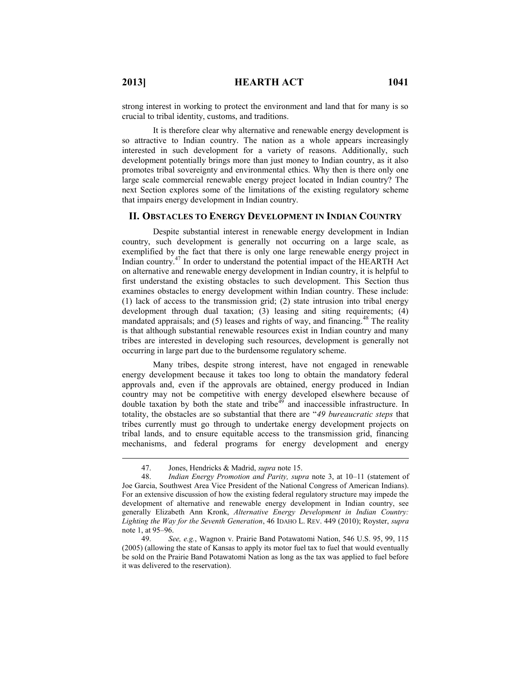strong interest in working to protect the environment and land that for many is so crucial to tribal identity, customs, and traditions.

It is therefore clear why alternative and renewable energy development is so attractive to Indian country. The nation as a whole appears increasingly interested in such development for a variety of reasons. Additionally, such development potentially brings more than just money to Indian country, as it also promotes tribal sovereignty and environmental ethics. Why then is there only one large scale commercial renewable energy project located in Indian country? The next Section explores some of the limitations of the existing regulatory scheme that impairs energy development in Indian country.

#### **II. OBSTACLES TO ENERGY DEVELOPMENT IN INDIAN COUNTRY**

Despite substantial interest in renewable energy development in Indian country, such development is generally not occurring on a large scale, as exemplified by the fact that there is only one large renewable energy project in Indian country.<sup>47</sup> In order to understand the potential impact of the HEARTH Act on alternative and renewable energy development in Indian country, it is helpful to first understand the existing obstacles to such development. This Section thus examines obstacles to energy development within Indian country. These include: (1) lack of access to the transmission grid; (2) state intrusion into tribal energy development through dual taxation; (3) leasing and siting requirements; (4) mandated appraisals; and  $(5)$  leases and rights of way, and financing.<sup>48</sup> The reality is that although substantial renewable resources exist in Indian country and many tribes are interested in developing such resources, development is generally not occurring in large part due to the burdensome regulatory scheme.

Many tribes, despite strong interest, have not engaged in renewable energy development because it takes too long to obtain the mandatory federal approvals and, even if the approvals are obtained, energy produced in Indian country may not be competitive with energy developed elsewhere because of double taxation by both the state and tribe<sup>49</sup> and inaccessible infrastructure. In totality, the obstacles are so substantial that there are "*49 bureaucratic steps* that tribes currently must go through to undertake energy development projects on tribal lands, and to ensure equitable access to the transmission grid, financing mechanisms, and federal programs for energy development and energy

 <sup>47.</sup> Jones, Hendricks & Madrid, *supra* note 15.

 <sup>48.</sup> *Indian Energy Promotion and Parity, supra* note 3, at 10–11 (statement of Joe Garcia, Southwest Area Vice President of the National Congress of American Indians). For an extensive discussion of how the existing federal regulatory structure may impede the development of alternative and renewable energy development in Indian country, see generally Elizabeth Ann Kronk, *Alternative Energy Development in Indian Country: Lighting the Way for the Seventh Generation*, 46 IDAHO L. REV. 449 (2010); Royster, *supra* note 1, at 95–96.

 <sup>49.</sup> *See, e.g.*, Wagnon v. Prairie Band Potawatomi Nation, 546 U.S. 95, 99, 115 (2005) (allowing the state of Kansas to apply its motor fuel tax to fuel that would eventually be sold on the Prairie Band Potawatomi Nation as long as the tax was applied to fuel before it was delivered to the reservation).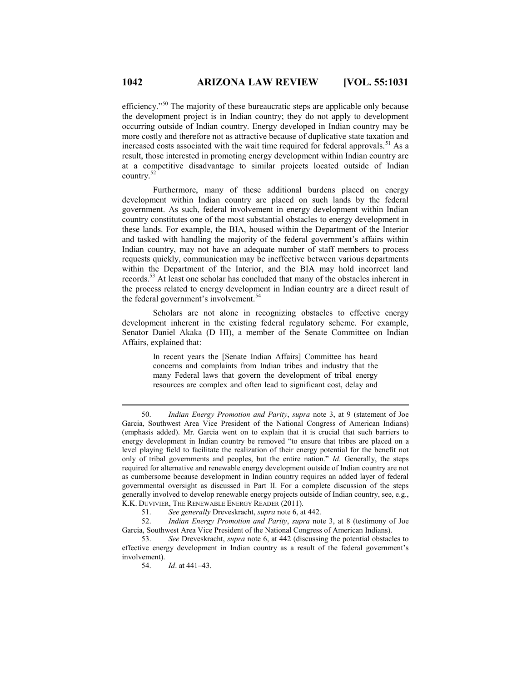efficiency."<sup>50</sup> The majority of these bureaucratic steps are applicable only because the development project is in Indian country; they do not apply to development occurring outside of Indian country. Energy developed in Indian country may be more costly and therefore not as attractive because of duplicative state taxation and increased costs associated with the wait time required for federal approvals.<sup>51</sup> As a result, those interested in promoting energy development within Indian country are at a competitive disadvantage to similar projects located outside of Indian country.<sup>52</sup>

Furthermore, many of these additional burdens placed on energy development within Indian country are placed on such lands by the federal government. As such, federal involvement in energy development within Indian country constitutes one of the most substantial obstacles to energy development in these lands. For example, the BIA, housed within the Department of the Interior and tasked with handling the majority of the federal government's affairs within Indian country, may not have an adequate number of staff members to process requests quickly, communication may be ineffective between various departments within the Department of the Interior, and the BIA may hold incorrect land records.<sup>53</sup> At least one scholar has concluded that many of the obstacles inherent in the process related to energy development in Indian country are a direct result of the federal government's involvement.<sup>54</sup>

Scholars are not alone in recognizing obstacles to effective energy development inherent in the existing federal regulatory scheme. For example, Senator Daniel Akaka (D–HI), a member of the Senate Committee on Indian Affairs, explained that:

> In recent years the [Senate Indian Affairs] Committee has heard concerns and complaints from Indian tribes and industry that the many Federal laws that govern the development of tribal energy resources are complex and often lead to significant cost, delay and

 <sup>50.</sup> *Indian Energy Promotion and Parity*, *supra* note 3, at 9 (statement of Joe Garcia, Southwest Area Vice President of the National Congress of American Indians) (emphasis added). Mr. Garcia went on to explain that it is crucial that such barriers to energy development in Indian country be removed "to ensure that tribes are placed on a level playing field to facilitate the realization of their energy potential for the benefit not only of tribal governments and peoples, but the entire nation." *Id.* Generally, the steps required for alternative and renewable energy development outside of Indian country are not as cumbersome because development in Indian country requires an added layer of federal governmental oversight as discussed in Part II. For a complete discussion of the steps generally involved to develop renewable energy projects outside of Indian country, see, e.g., K.K. DUVIVIER, THE RENEWABLE ENERGY READER (2011).

 <sup>51.</sup> *See generally* Dreveskracht, *supra* note 6, at 442.

 <sup>52.</sup> *Indian Energy Promotion and Parity*, *supra* note 3, at 8 (testimony of Joe Garcia, Southwest Area Vice President of the National Congress of American Indians).

 <sup>53.</sup> *See* Dreveskracht, *supra* note 6, at 442 (discussing the potential obstacles to effective energy development in Indian country as a result of the federal government's involvement).

 <sup>54.</sup> *Id*. at 441–43.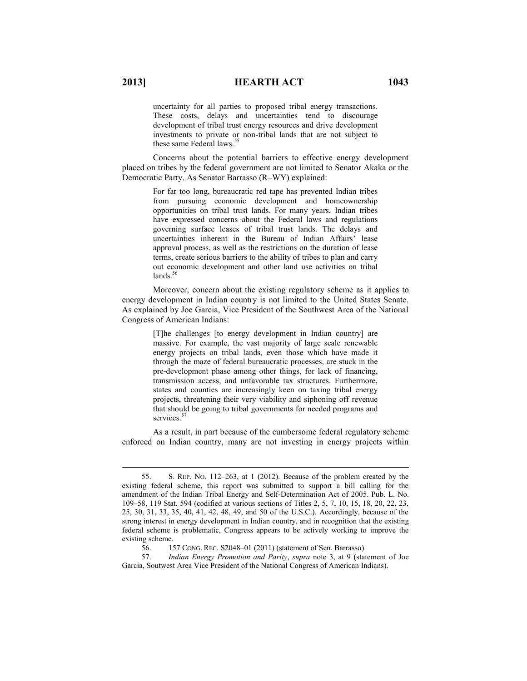uncertainty for all parties to proposed tribal energy transactions. These costs, delays and uncertainties tend to discourage development of tribal trust energy resources and drive development investments to private or non-tribal lands that are not subject to these same Federal laws.<sup>5</sup>

Concerns about the potential barriers to effective energy development placed on tribes by the federal government are not limited to Senator Akaka or the Democratic Party. As Senator Barrasso (R–WY) explained:

> For far too long, bureaucratic red tape has prevented Indian tribes from pursuing economic development and homeownership opportunities on tribal trust lands. For many years, Indian tribes have expressed concerns about the Federal laws and regulations governing surface leases of tribal trust lands. The delays and uncertainties inherent in the Bureau of Indian Affairs' lease approval process, as well as the restrictions on the duration of lease terms, create serious barriers to the ability of tribes to plan and carry out economic development and other land use activities on tribal  $lands.<sup>56</sup>$

Moreover, concern about the existing regulatory scheme as it applies to energy development in Indian country is not limited to the United States Senate. As explained by Joe Garcia, Vice President of the Southwest Area of the National Congress of American Indians:

> [T]he challenges [to energy development in Indian country] are massive. For example, the vast majority of large scale renewable energy projects on tribal lands, even those which have made it through the maze of federal bureaucratic processes, are stuck in the pre-development phase among other things, for lack of financing, transmission access, and unfavorable tax structures. Furthermore, states and counties are increasingly keen on taxing tribal energy projects, threatening their very viability and siphoning off revenue that should be going to tribal governments for needed programs and services.<sup>57</sup>

As a result, in part because of the cumbersome federal regulatory scheme enforced on Indian country, many are not investing in energy projects within

 <sup>55.</sup> S. REP. NO. 112–263, at 1 (2012). Because of the problem created by the existing federal scheme, this report was submitted to support a bill calling for the amendment of the Indian Tribal Energy and Self-Determination Act of 2005. Pub. L. No. 109–58, 119 Stat. 594 (codified at various sections of Titles 2, 5, 7, 10, 15, 18, 20, 22, 23, 25, 30, 31, 33, 35, 40, 41, 42, 48, 49, and 50 of the U.S.C.). Accordingly, because of the strong interest in energy development in Indian country, and in recognition that the existing federal scheme is problematic, Congress appears to be actively working to improve the existing scheme.<br> $56.1$ :

 <sup>56.</sup> 157 CONG. REC. S2048–01 (2011) (statement of Sen. Barrasso).

 <sup>57.</sup> *Indian Energy Promotion and Parity*, *supra* note 3, at 9 (statement of Joe Garcia, Soutwest Area Vice President of the National Congress of American Indians).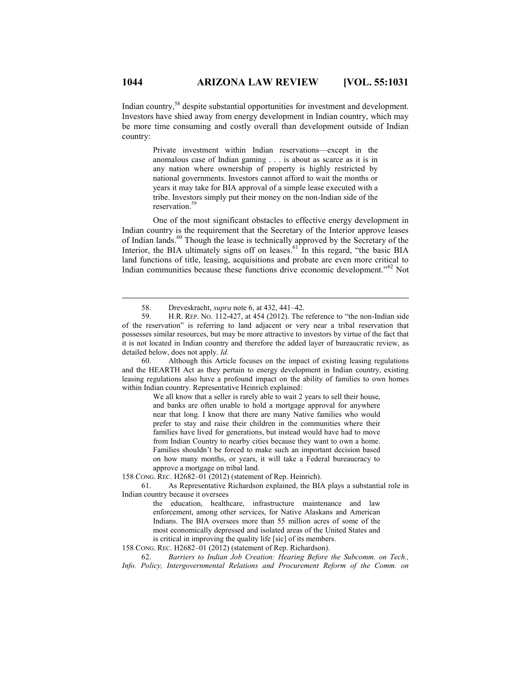Indian country,<sup>58</sup> despite substantial opportunities for investment and development. Investors have shied away from energy development in Indian country, which may be more time consuming and costly overall than development outside of Indian country:

> Private investment within Indian reservations—except in the anomalous case of Indian gaming . . . is about as scarce as it is in any nation where ownership of property is highly restricted by national governments. Investors cannot afford to wait the months or years it may take for BIA approval of a simple lease executed with a tribe. Investors simply put their money on the non-Indian side of the reservation.<sup>5</sup>

One of the most significant obstacles to effective energy development in Indian country is the requirement that the Secretary of the Interior approve leases of Indian lands.<sup>60</sup> Though the lease is technically approved by the Secretary of the Interior, the BIA ultimately signs off on leases.<sup>61</sup> In this regard, "the basic BIA land functions of title, leasing, acquisitions and probate are even more critical to Indian communities because these functions drive economic development."<sup>62</sup> Not

 60. Although this Article focuses on the impact of existing leasing regulations and the HEARTH Act as they pertain to energy development in Indian country, existing leasing regulations also have a profound impact on the ability of families to own homes within Indian country. Representative Heinrich explained:

> We all know that a seller is rarely able to wait 2 years to sell their house, and banks are often unable to hold a mortgage approval for anywhere near that long. I know that there are many Native families who would prefer to stay and raise their children in the communities where their families have lived for generations, but instead would have had to move from Indian Country to nearby cities because they want to own a home. Families shouldn't be forced to make such an important decision based on how many months, or years, it will take a Federal bureaucracy to approve a mortgage on tribal land.

158 CONG. REC. H2682–01 (2012) (statement of Rep. Heinrich).

 61. As Representative Richardson explained, the BIA plays a substantial role in Indian country because it oversees

> the education, healthcare, infrastructure maintenance and law enforcement, among other services, for Native Alaskans and American Indians. The BIA oversees more than 55 million acres of some of the most economically depressed and isolated areas of the United States and is critical in improving the quality life [sic] of its members.

158 CONG. REC. H2682–01 (2012) (statement of Rep. Richardson).

 62. *Barriers to Indian Job Creation: Hearing Before the Subcomm. on Tech., Info. Policy, Intergovernmental Relations and Procurement Reform of the Comm. on* 

 <sup>58.</sup> Dreveskracht, *supra* note 6, at 432, 441–42.

 <sup>59.</sup> H.R. REP. NO. 112-427, at 454 (2012). The reference to "the non-Indian side of the reservation" is referring to land adjacent or very near a tribal reservation that possesses similar resources, but may be more attractive to investors by virtue of the fact that it is not located in Indian country and therefore the added layer of bureaucratic review, as detailed below, does not apply. *Id.*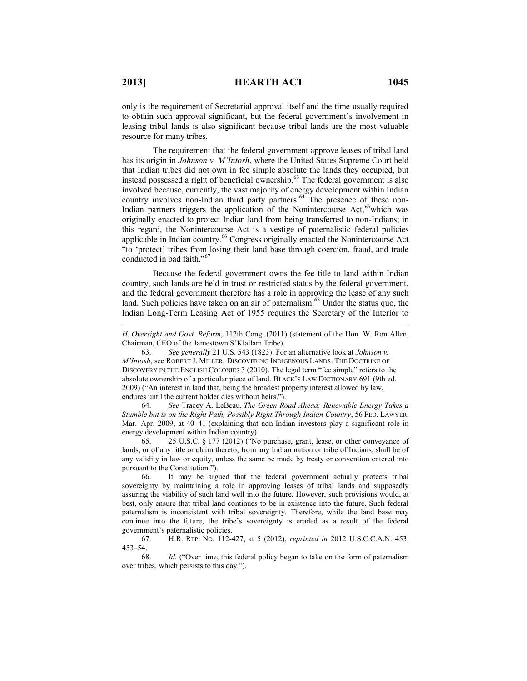$\overline{a}$ 

resource for many tribes.

leasing tribal lands is also significant because tribal lands are the most valuable

only is the requirement of Secretarial approval itself and the time usually required to obtain such approval significant, but the federal government's involvement in

The requirement that the federal government approve leases of tribal land has its origin in *Johnson v. M'Intosh*, where the United States Supreme Court held that Indian tribes did not own in fee simple absolute the lands they occupied, but instead possessed a right of beneficial ownership.<sup>63</sup> The federal government is also involved because, currently, the vast majority of energy development within Indian country involves non-Indian third party partners.<sup>64</sup> The presence of these non-Indian partners triggers the application of the Nonintercourse Act,  $65$  which was originally enacted to protect Indian land from being transferred to non-Indians; in this regard, the Nonintercourse Act is a vestige of paternalistic federal policies applicable in Indian country.<sup>66</sup> Congress originally enacted the Nonintercourse Act "to 'protect' tribes from losing their land base through coercion, fraud, and trade conducted in bad faith."<sup>67</sup>

Because the federal government owns the fee title to land within Indian country, such lands are held in trust or restricted status by the federal government, and the federal government therefore has a role in approving the lease of any such land. Such policies have taken on an air of paternalism.<sup>68</sup> Under the status quo, the Indian Long-Term Leasing Act of 1955 requires the Secretary of the Interior to

*H. Oversight and Govt. Reform*, 112th Cong. (2011) (statement of the Hon. W. Ron Allen, Chairman, CEO of the Jamestown S'Klallam Tribe).

 63. *See generally* 21 U.S. 543 (1823). For an alternative look at *Johnson v. M'Intosh*, see ROBERT J. MILLER, DISCOVERING INDIGENOUS LANDS: THE DOCTRINE OF DISCOVERY IN THE ENGLISH COLONIES 3 (2010). The legal term "fee simple" refers to the absolute ownership of a particular piece of land. BLACK'S LAW DICTIONARY 691 (9th ed. 2009) ("An interest in land that, being the broadest property interest allowed by law, endures until the current holder dies without heirs.").

 64. *See* Tracey A. LeBeau, *The Green Road Ahead: Renewable Energy Takes a Stumble but is on the Right Path, Possibly Right Through Indian Country*, 56 FED. LAWYER, Mar.–Apr. 2009, at 40–41 (explaining that non-Indian investors play a significant role in energy development within Indian country).

 65. 25 U.S.C. § 177 (2012) ("No purchase, grant, lease, or other conveyance of lands, or of any title or claim thereto, from any Indian nation or tribe of Indians, shall be of any validity in law or equity, unless the same be made by treaty or convention entered into pursuant to the Constitution.").

 66. It may be argued that the federal government actually protects tribal sovereignty by maintaining a role in approving leases of tribal lands and supposedly assuring the viability of such land well into the future. However, such provisions would, at best, only ensure that tribal land continues to be in existence into the future. Such federal paternalism is inconsistent with tribal sovereignty. Therefore, while the land base may continue into the future, the tribe's sovereignty is eroded as a result of the federal government's paternalistic policies.

 67. H.R. REP. NO. 112-427, at 5 (2012), *reprinted in* 2012 U.S.C.C.A.N. 453, 453–54.

 68. *Id.* ("Over time, this federal policy began to take on the form of paternalism over tribes, which persists to this day.").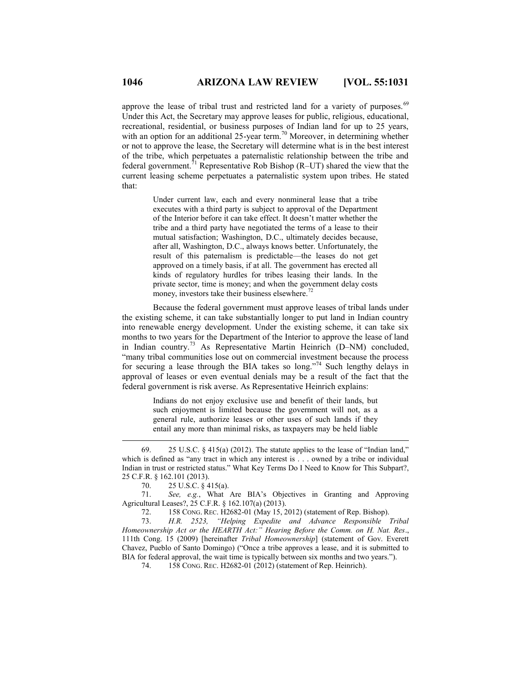approve the lease of tribal trust and restricted land for a variety of purposes.<sup>69</sup> Under this Act, the Secretary may approve leases for public, religious, educational, recreational, residential, or business purposes of Indian land for up to 25 years, with an option for an additional 25-year term.<sup>70</sup> Moreover, in determining whether or not to approve the lease, the Secretary will determine what is in the best interest of the tribe, which perpetuates a paternalistic relationship between the tribe and federal government.<sup>71</sup> Representative Rob Bishop (R–UT) shared the view that the current leasing scheme perpetuates a paternalistic system upon tribes. He stated that:

> Under current law, each and every nonmineral lease that a tribe executes with a third party is subject to approval of the Department of the Interior before it can take effect. It doesn't matter whether the tribe and a third party have negotiated the terms of a lease to their mutual satisfaction; Washington, D.C., ultimately decides because, after all, Washington, D.C., always knows better. Unfortunately, the result of this paternalism is predictable—the leases do not get approved on a timely basis, if at all. The government has erected all kinds of regulatory hurdles for tribes leasing their lands. In the private sector, time is money; and when the government delay costs money, investors take their business elsewhere. $^{72}$

Because the federal government must approve leases of tribal lands under the existing scheme, it can take substantially longer to put land in Indian country into renewable energy development. Under the existing scheme, it can take six months to two years for the Department of the Interior to approve the lease of land in Indian country.<sup>73</sup> As Representative Martin Heinrich (D–NM) concluded, "many tribal communities lose out on commercial investment because the process for securing a lease through the BIA takes so long."<sup>74</sup> Such lengthy delays in approval of leases or even eventual denials may be a result of the fact that the federal government is risk averse. As Representative Heinrich explains:

> Indians do not enjoy exclusive use and benefit of their lands, but such enjoyment is limited because the government will not, as a general rule, authorize leases or other uses of such lands if they entail any more than minimal risks, as taxpayers may be held liable

 $\overline{a}$ 

 71. *See, e.g.*, What Are BIA's Objectives in Granting and Approving Agricultural Leases?, 25 C.F.R. § 162.107(a) (2013).

72. 158 CONG. REC. H2682-01 (May 15, 2012) (statement of Rep. Bishop).

 73. *H.R. 2523, "Helping Expedite and Advance Responsible Tribal Homeownership Act or the HEARTH Act:" Hearing Before the Comm. on H. Nat. Res*., 111th Cong. 15 (2009) [hereinafter *Tribal Homeownership*] (statement of Gov. Everett Chavez, Pueblo of Santo Domingo) ("Once a tribe approves a lease, and it is submitted to BIA for federal approval, the wait time is typically between six months and two years.").

74. 158 CONG. REC. H2682-01 (2012) (statement of Rep. Heinrich).

 <sup>69.</sup> 25 U.S.C. § 415(a) (2012). The statute applies to the lease of "Indian land," which is defined as "any tract in which any interest is . . . owned by a tribe or individual Indian in trust or restricted status." What Key Terms Do I Need to Know for This Subpart?, 25 C.F.R. § 162.101 (2013).

 <sup>70.</sup> 25 U.S.C. § 415(a).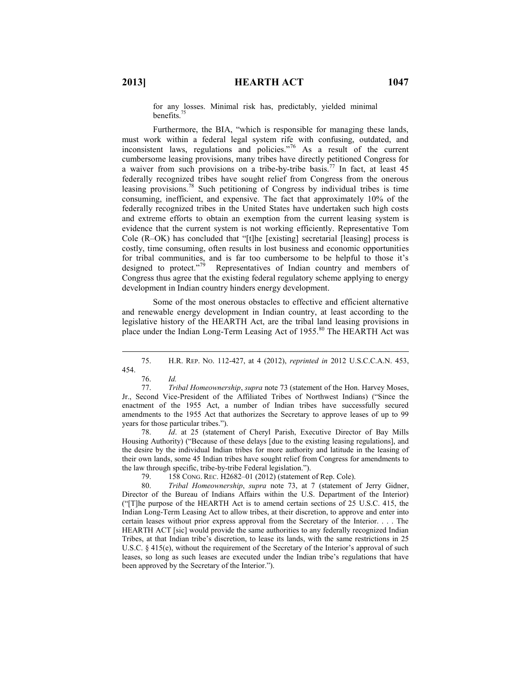for any losses. Minimal risk has, predictably, yielded minimal benefits. $7$ 

Furthermore, the BIA, "which is responsible for managing these lands, must work within a federal legal system rife with confusing, outdated, and inconsistent laws, regulations and policies.<sup>"76</sup> As a result of the current cumbersome leasing provisions, many tribes have directly petitioned Congress for a waiver from such provisions on a tribe-by-tribe basis.<sup>77</sup> In fact, at least 45 federally recognized tribes have sought relief from Congress from the onerous leasing provisions.<sup>78</sup> Such petitioning of Congress by individual tribes is time consuming, inefficient, and expensive. The fact that approximately 10% of the federally recognized tribes in the United States have undertaken such high costs and extreme efforts to obtain an exemption from the current leasing system is evidence that the current system is not working efficiently. Representative Tom Cole (R–OK) has concluded that "[t]he [existing] secretarial [leasing] process is costly, time consuming, often results in lost business and economic opportunities for tribal communities, and is far too cumbersome to be helpful to those it's designed to protect."<sup>79</sup> Representatives of Indian country and members of Congress thus agree that the existing federal regulatory scheme applying to energy development in Indian country hinders energy development.

Some of the most onerous obstacles to effective and efficient alternative and renewable energy development in Indian country, at least according to the legislative history of the HEARTH Act, are the tribal land leasing provisions in place under the Indian Long-Term Leasing Act of 1955.<sup>80</sup> The HEARTH Act was

 $\overline{a}$ 

 78. *Id*. at 25 (statement of Cheryl Parish, Executive Director of Bay Mills Housing Authority) ("Because of these delays [due to the existing leasing regulations], and the desire by the individual Indian tribes for more authority and latitude in the leasing of their own lands, some 45 Indian tribes have sought relief from Congress for amendments to the law through specific, tribe-by-tribe Federal legislation.").

79. 158 CONG. REC. H2682–01 (2012) (statement of Rep. Cole).

 80. *Tribal Homeownership*, *supra* note 73, at 7 (statement of Jerry Gidner, Director of the Bureau of Indians Affairs within the U.S. Department of the Interior) ("[T]he purpose of the HEARTH Act is to amend certain sections of 25 U.S.C. 415, the Indian Long-Term Leasing Act to allow tribes, at their discretion, to approve and enter into certain leases without prior express approval from the Secretary of the Interior. . . . The HEARTH ACT [sic] would provide the same authorities to any federally recognized Indian Tribes, at that Indian tribe's discretion, to lease its lands, with the same restrictions in 25 U.S.C. § 415(e), without the requirement of the Secretary of the Interior's approval of such leases, so long as such leases are executed under the Indian tribe's regulations that have been approved by the Secretary of the Interior.").

 <sup>75.</sup> H.R. REP. NO. 112-427, at 4 (2012), *reprinted in* 2012 U.S.C.C.A.N. 453, 454.

 <sup>76.</sup> *Id.*

 <sup>77.</sup> *Tribal Homeownership*, *supra* note 73 (statement of the Hon. Harvey Moses, Jr., Second Vice-President of the Affiliated Tribes of Northwest Indians) ("Since the enactment of the 1955 Act, a number of Indian tribes have successfully secured amendments to the 1955 Act that authorizes the Secretary to approve leases of up to 99 years for those particular tribes.").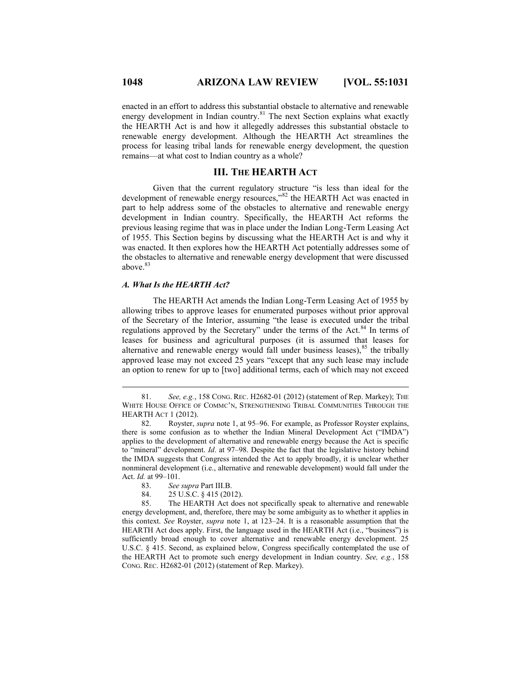enacted in an effort to address this substantial obstacle to alternative and renewable energy development in Indian country.<sup>81</sup> The next Section explains what exactly the HEARTH Act is and how it allegedly addresses this substantial obstacle to renewable energy development. Although the HEARTH Act streamlines the process for leasing tribal lands for renewable energy development, the question remains—at what cost to Indian country as a whole?

## **III. THE HEARTH ACT**

Given that the current regulatory structure "is less than ideal for the development of renewable energy resources,"<sup>82</sup> the HEARTH Act was enacted in part to help address some of the obstacles to alternative and renewable energy development in Indian country. Specifically, the HEARTH Act reforms the previous leasing regime that was in place under the Indian Long-Term Leasing Act of 1955. This Section begins by discussing what the HEARTH Act is and why it was enacted. It then explores how the HEARTH Act potentially addresses some of the obstacles to alternative and renewable energy development that were discussed above.<sup>83</sup>

## *A. What Is the HEARTH Act?*

The HEARTH Act amends the Indian Long-Term Leasing Act of 1955 by allowing tribes to approve leases for enumerated purposes without prior approval of the Secretary of the Interior, assuming "the lease is executed under the tribal regulations approved by the Secretary" under the terms of the Act.<sup>84</sup> In terms of leases for business and agricultural purposes (it is assumed that leases for alternative and renewable energy would fall under business leases), $85$  the tribally approved lease may not exceed 25 years "except that any such lease may include an option to renew for up to [two] additional terms, each of which may not exceed

 <sup>81.</sup> *See, e.g.*, 158 CONG. REC. H2682-01 (2012) (statement of Rep. Markey); THE WHITE HOUSE OFFICE OF COMMC'N, STRENGTHENING TRIBAL COMMUNITIES THROUGH THE HEARTH ACT 1 (2012).

 <sup>82.</sup> Royster, *supra* note 1, at 95–96. For example, as Professor Royster explains, there is some confusion as to whether the Indian Mineral Development Act ("IMDA") applies to the development of alternative and renewable energy because the Act is specific to "mineral" development. *Id*. at 97–98. Despite the fact that the legislative history behind the IMDA suggests that Congress intended the Act to apply broadly, it is unclear whether nonmineral development (i.e., alternative and renewable development) would fall under the Act. *Id.* at 99–101.

 <sup>83.</sup> *See supra* Part III.B.

 <sup>84.</sup> 25 U.S.C. § 415 (2012).

 <sup>85.</sup> The HEARTH Act does not specifically speak to alternative and renewable energy development, and, therefore, there may be some ambiguity as to whether it applies in this context. *See* Royster, *supra* note 1, at 123–24. It is a reasonable assumption that the HEARTH Act does apply. First, the language used in the HEARTH Act (i.e., "business") is sufficiently broad enough to cover alternative and renewable energy development. 25 U.S.C. § 415. Second, as explained below, Congress specifically contemplated the use of the HEARTH Act to promote such energy development in Indian country. *See, e.g.*, 158 CONG. REC. H2682-01 (2012) (statement of Rep. Markey).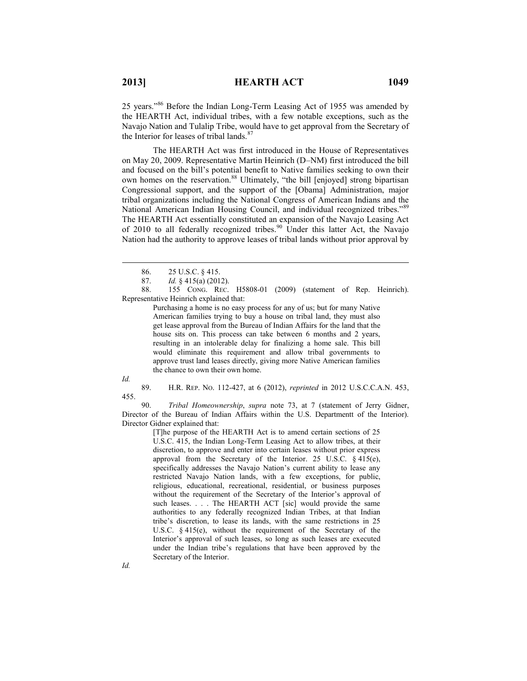25 years."<sup>86</sup> Before the Indian Long-Term Leasing Act of 1955 was amended by the HEARTH Act, individual tribes, with a few notable exceptions, such as the Navajo Nation and Tulalip Tribe, would have to get approval from the Secretary of the Interior for leases of tribal lands.<sup>87</sup>

The HEARTH Act was first introduced in the House of Representatives on May 20, 2009. Representative Martin Heinrich (D–NM) first introduced the bill and focused on the bill's potential benefit to Native families seeking to own their own homes on the reservation.<sup>88</sup> Ultimately, "the bill [enjoyed] strong bipartisan Congressional support, and the support of the [Obama] Administration, major tribal organizations including the National Congress of American Indians and the National American Indian Housing Council, and individual recognized tribes."<sup>89</sup> The HEARTH Act essentially constituted an expansion of the Navajo Leasing Act of 2010 to all federally recognized tribes.<sup>90</sup> Under this latter Act, the Navajo Nation had the authority to approve leases of tribal lands without prior approval by

 88. 155 CONG. REC. H5808-01 (2009) (statement of Rep. Heinrich). Representative Heinrich explained that:

> Purchasing a home is no easy process for any of us; but for many Native American families trying to buy a house on tribal land, they must also get lease approval from the Bureau of Indian Affairs for the land that the house sits on. This process can take between 6 months and 2 years, resulting in an intolerable delay for finalizing a home sale. This bill would eliminate this requirement and allow tribal governments to approve trust land leases directly, giving more Native American families the chance to own their own home.

*Id.*

 $\overline{a}$ 

 89. H.R. REP. NO. 112-427, at 6 (2012), *reprinted* in 2012 U.S.C.C.A.N. 453, 455.

 90. *Tribal Homeownership*, *supra* note 73, at 7 (statement of Jerry Gidner, Director of the Bureau of Indian Affairs within the U.S. Departmentt of the Interior). Director Gidner explained that:

[T]he purpose of the HEARTH Act is to amend certain sections of 25 U.S.C. 415, the Indian Long-Term Leasing Act to allow tribes, at their discretion, to approve and enter into certain leases without prior express approval from the Secretary of the Interior. 25 U.S.C. § 415(e), specifically addresses the Navajo Nation's current ability to lease any restricted Navajo Nation lands, with a few exceptions, for public, religious, educational, recreational, residential, or business purposes without the requirement of the Secretary of the Interior's approval of such leases. . . . The HEARTH ACT [sic] would provide the same authorities to any federally recognized Indian Tribes, at that Indian tribe's discretion, to lease its lands, with the same restrictions in 25 U.S.C. § 415(e), without the requirement of the Secretary of the Interior's approval of such leases, so long as such leases are executed under the Indian tribe's regulations that have been approved by the Secretary of the Interior.

 <sup>86.</sup> 25 U.S.C. § 415.

 <sup>87.</sup> *Id.* § 415(a) (2012).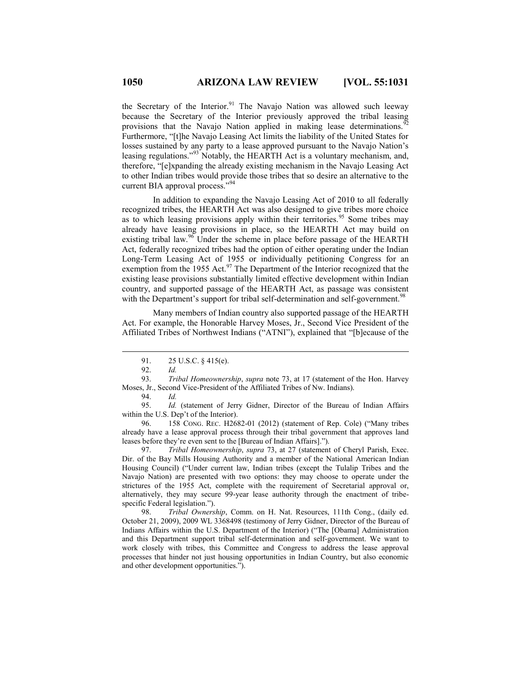the Secretary of the Interior.<sup>91</sup> The Navajo Nation was allowed such leeway because the Secretary of the Interior previously approved the tribal leasing provisions that the Navajo Nation applied in making lease determinations.<sup>9</sup> Furthermore, "[t]he Navajo Leasing Act limits the liability of the United States for losses sustained by any party to a lease approved pursuant to the Navajo Nation's leasing regulations."<sup>93</sup> Notably, the HEARTH Act is a voluntary mechanism, and, therefore, "[e]xpanding the already existing mechanism in the Navajo Leasing Act to other Indian tribes would provide those tribes that so desire an alternative to the current BIA approval process."<sup>94</sup>

In addition to expanding the Navajo Leasing Act of 2010 to all federally recognized tribes, the HEARTH Act was also designed to give tribes more choice as to which leasing provisions apply within their territories.<sup>95</sup> Some tribes may already have leasing provisions in place, so the HEARTH Act may build on existing tribal law.<sup>96</sup> Under the scheme in place before passage of the HEARTH Act, federally recognized tribes had the option of either operating under the Indian Long-Term Leasing Act of 1955 or individually petitioning Congress for an exemption from the 1955 Act.<sup>97</sup> The Department of the Interior recognized that the existing lease provisions substantially limited effective development within Indian country, and supported passage of the HEARTH Act, as passage was consistent with the Department's support for tribal self-determination and self-government.<sup>98</sup>

Many members of Indian country also supported passage of the HEARTH Act. For example, the Honorable Harvey Moses, Jr., Second Vice President of the Affiliated Tribes of Northwest Indians ("ATNI"), explained that "[b]ecause of the

 $\overline{a}$ 

 95. *Id.* (statement of Jerry Gidner, Director of the Bureau of Indian Affairs within the U.S. Dep't of the Interior).

 96. 158 CONG. REC. H2682-01 (2012) (statement of Rep. Cole) ("Many tribes already have a lease approval process through their tribal government that approves land leases before they're even sent to the [Bureau of Indian Affairs].").

 97. *Tribal Homeownership*, *supra* 73, at 27 (statement of Cheryl Parish, Exec. Dir. of the Bay Mills Housing Authority and a member of the National American Indian Housing Council) ("Under current law, Indian tribes (except the Tulalip Tribes and the Navajo Nation) are presented with two options: they may choose to operate under the strictures of the 1955 Act, complete with the requirement of Secretarial approval or, alternatively, they may secure 99-year lease authority through the enactment of tribespecific Federal legislation.").

 98. *Tribal Ownership*, Comm. on H. Nat. Resources, 111th Cong., (daily ed. October 21, 2009), 2009 WL 3368498 (testimony of Jerry Gidner, Director of the Bureau of Indians Affairs within the U.S. Department of the Interior) ("The [Obama] Administration and this Department support tribal self-determination and self-government. We want to work closely with tribes, this Committee and Congress to address the lease approval processes that hinder not just housing opportunities in Indian Country, but also economic and other development opportunities.").

 <sup>91.</sup> 25 U.S.C. § 415(e).

 <sup>92.</sup> *Id.*

 <sup>93.</sup> *Tribal Homeownership*, *supra* note 73, at 17 (statement of the Hon. Harvey Moses, Jr., Second Vice-President of the Affiliated Tribes of Nw. Indians).

 <sup>94.</sup> *Id.*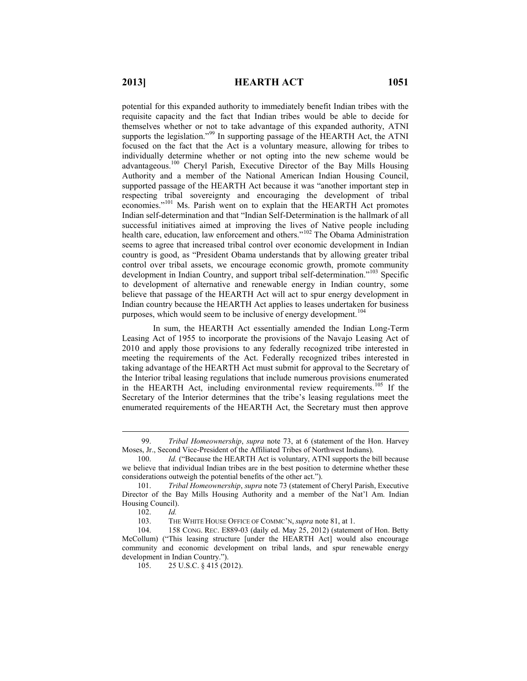potential for this expanded authority to immediately benefit Indian tribes with the requisite capacity and the fact that Indian tribes would be able to decide for themselves whether or not to take advantage of this expanded authority, ATNI supports the legislation."<sup>99</sup> In supporting passage of the HEARTH Act, the ATNI focused on the fact that the Act is a voluntary measure, allowing for tribes to individually determine whether or not opting into the new scheme would be advantageous.<sup>100</sup> Cheryl Parish, Executive Director of the Bay Mills Housing Authority and a member of the National American Indian Housing Council, supported passage of the HEARTH Act because it was "another important step in respecting tribal sovereignty and encouraging the development of tribal economies."<sup>101</sup> Ms. Parish went on to explain that the HEARTH Act promotes Indian self-determination and that "Indian Self-Determination is the hallmark of all successful initiatives aimed at improving the lives of Native people including health care, education, law enforcement and others."<sup>102</sup> The Obama Administration seems to agree that increased tribal control over economic development in Indian country is good, as "President Obama understands that by allowing greater tribal control over tribal assets, we encourage economic growth, promote community development in Indian Country, and support tribal self-determination."<sup>103</sup> Specific to development of alternative and renewable energy in Indian country, some believe that passage of the HEARTH Act will act to spur energy development in Indian country because the HEARTH Act applies to leases undertaken for business purposes, which would seem to be inclusive of energy development.<sup>104</sup>

In sum, the HEARTH Act essentially amended the Indian Long-Term Leasing Act of 1955 to incorporate the provisions of the Navajo Leasing Act of 2010 and apply those provisions to any federally recognized tribe interested in meeting the requirements of the Act. Federally recognized tribes interested in taking advantage of the HEARTH Act must submit for approval to the Secretary of the Interior tribal leasing regulations that include numerous provisions enumerated in the HEARTH Act, including environmental review requirements.<sup>105</sup> If the Secretary of the Interior determines that the tribe's leasing regulations meet the enumerated requirements of the HEARTH Act, the Secretary must then approve

 <sup>99.</sup> *Tribal Homeownership*, *supra* note 73, at 6 (statement of the Hon. Harvey Moses, Jr., Second Vice-President of the Affiliated Tribes of Northwest Indians).

<sup>100.</sup> *Id.* ("Because the HEARTH Act is voluntary, ATNI supports the bill because we believe that individual Indian tribes are in the best position to determine whether these considerations outweigh the potential benefits of the other act.").

<sup>101.</sup> *Tribal Homeownership*, *supra* note 73 (statement of Cheryl Parish, Executive Director of the Bay Mills Housing Authority and a member of the Nat'l Am. Indian Housing Council).

<sup>102.</sup> *Id.*

<sup>103.</sup> THE WHITE HOUSE OFFICE OF COMMC'N, *supra* note 81, at 1.

<sup>104.</sup> 158 CONG. REC. E889-03 (daily ed. May 25, 2012) (statement of Hon. Betty McCollum) ("This leasing structure [under the HEARTH Act] would also encourage community and economic development on tribal lands, and spur renewable energy development in Indian Country.").

<sup>105. 25</sup> U.S.C. § 415 (2012).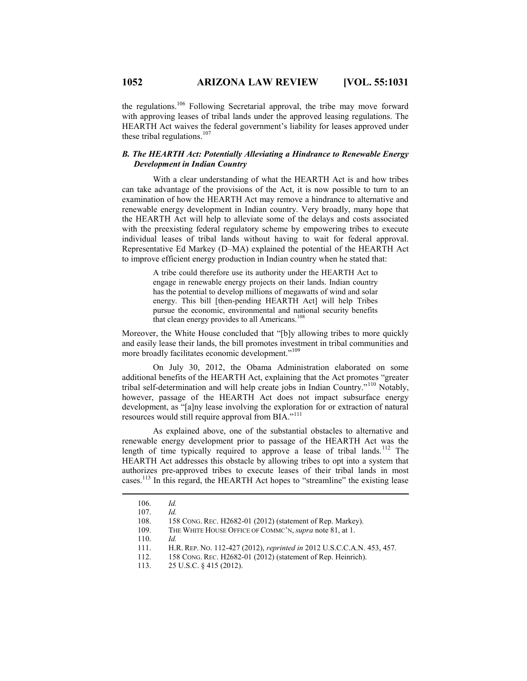the regulations.<sup>106</sup> Following Secretarial approval, the tribe may move forward with approving leases of tribal lands under the approved leasing regulations. The HEARTH Act waives the federal government's liability for leases approved under these tribal regulations.<sup>107</sup>

## *B. The HEARTH Act: Potentially Alleviating a Hindrance to Renewable Energy Development in Indian Country*

With a clear understanding of what the HEARTH Act is and how tribes can take advantage of the provisions of the Act, it is now possible to turn to an examination of how the HEARTH Act may remove a hindrance to alternative and renewable energy development in Indian country. Very broadly, many hope that the HEARTH Act will help to alleviate some of the delays and costs associated with the preexisting federal regulatory scheme by empowering tribes to execute individual leases of tribal lands without having to wait for federal approval. Representative Ed Markey (D–MA) explained the potential of the HEARTH Act to improve efficient energy production in Indian country when he stated that:

> A tribe could therefore use its authority under the HEARTH Act to engage in renewable energy projects on their lands. Indian country has the potential to develop millions of megawatts of wind and solar energy. This bill [then-pending HEARTH Act] will help Tribes pursue the economic, environmental and national security benefits that clean energy provides to all Americans.<sup>108</sup>

Moreover, the White House concluded that "[b]y allowing tribes to more quickly and easily lease their lands, the bill promotes investment in tribal communities and more broadly facilitates economic development."<sup>109</sup>

On July 30, 2012, the Obama Administration elaborated on some additional benefits of the HEARTH Act, explaining that the Act promotes "greater tribal self-determination and will help create jobs in Indian Country."<sup>110</sup> Notably, however, passage of the HEARTH Act does not impact subsurface energy development, as "[a]ny lease involving the exploration for or extraction of natural resources would still require approval from BIA."<sup>111</sup>

As explained above, one of the substantial obstacles to alternative and renewable energy development prior to passage of the HEARTH Act was the length of time typically required to approve a lease of tribal lands.<sup>112</sup> The HEARTH Act addresses this obstacle by allowing tribes to opt into a system that authorizes pre-approved tribes to execute leases of their tribal lands in most cases.<sup>113</sup> In this regard, the HEARTH Act hopes to "streamline" the existing lease

 $\overline{a}$ 

113. 25 U.S.C. § 415 (2012).

<sup>106.</sup> *Id.*

<sup>107.</sup> *Id.*

<sup>108.</sup> 158 CONG. REC. H2682-01 (2012) (statement of Rep. Markey).

<sup>109.</sup> THE WHITE HOUSE OFFICE OF COMMC'N, *supra* note 81, at 1.

<sup>110.</sup> *Id.*

<sup>111.</sup> H.R. REP. NO. 112-427 (2012), *reprinted in* 2012 U.S.C.C.A.N. 453, 457.

<sup>112.</sup> 158 CONG. REC. H2682-01 (2012) (statement of Rep. Heinrich).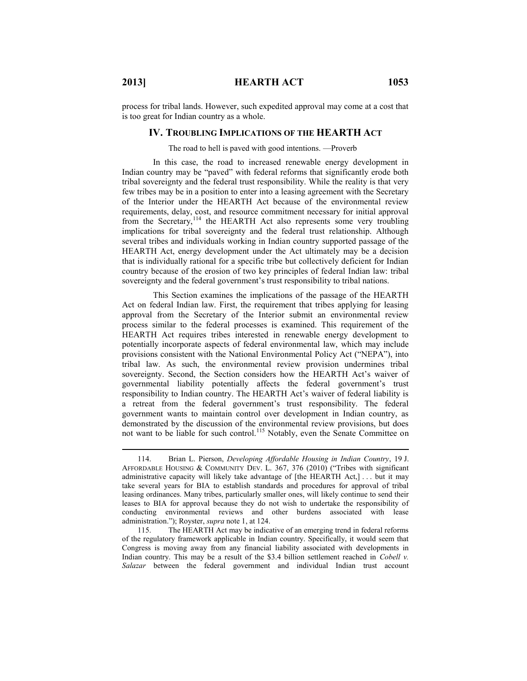process for tribal lands. However, such expedited approval may come at a cost that is too great for Indian country as a whole.

## **IV. TROUBLING IMPLICATIONS OF THE HEARTH ACT**

The road to hell is paved with good intentions. —Proverb

In this case, the road to increased renewable energy development in Indian country may be "paved" with federal reforms that significantly erode both tribal sovereignty and the federal trust responsibility. While the reality is that very few tribes may be in a position to enter into a leasing agreement with the Secretary of the Interior under the HEARTH Act because of the environmental review requirements, delay, cost, and resource commitment necessary for initial approval from the Secretary,<sup>114</sup> the HEARTH Act also represents some very troubling implications for tribal sovereignty and the federal trust relationship. Although several tribes and individuals working in Indian country supported passage of the HEARTH Act, energy development under the Act ultimately may be a decision that is individually rational for a specific tribe but collectively deficient for Indian country because of the erosion of two key principles of federal Indian law: tribal sovereignty and the federal government's trust responsibility to tribal nations.

This Section examines the implications of the passage of the HEARTH Act on federal Indian law. First, the requirement that tribes applying for leasing approval from the Secretary of the Interior submit an environmental review process similar to the federal processes is examined. This requirement of the HEARTH Act requires tribes interested in renewable energy development to potentially incorporate aspects of federal environmental law, which may include provisions consistent with the National Environmental Policy Act ("NEPA"), into tribal law. As such, the environmental review provision undermines tribal sovereignty. Second, the Section considers how the HEARTH Act's waiver of governmental liability potentially affects the federal government's trust responsibility to Indian country. The HEARTH Act's waiver of federal liability is a retreat from the federal government's trust responsibility. The federal government wants to maintain control over development in Indian country, as demonstrated by the discussion of the environmental review provisions, but does not want to be liable for such control.<sup>115</sup> Notably, even the Senate Committee on

<sup>114.</sup> Brian L. Pierson, *Developing Affordable Housing in Indian Country*, 19 J. AFFORDABLE HOUSING & COMMUNITY DEV. L. 367, 376 (2010) ("Tribes with significant administrative capacity will likely take advantage of  $[the HERTH Act.]$  ... but it may take several years for BIA to establish standards and procedures for approval of tribal leasing ordinances. Many tribes, particularly smaller ones, will likely continue to send their leases to BIA for approval because they do not wish to undertake the responsibility of conducting environmental reviews and other burdens associated with lease administration."); Royster, *supra* note 1, at 124.

<sup>115.</sup> The HEARTH Act may be indicative of an emerging trend in federal reforms of the regulatory framework applicable in Indian country. Specifically, it would seem that Congress is moving away from any financial liability associated with developments in Indian country. This may be a result of the \$3.4 billion settlement reached in *Cobell v. Salazar* between the federal government and individual Indian trust account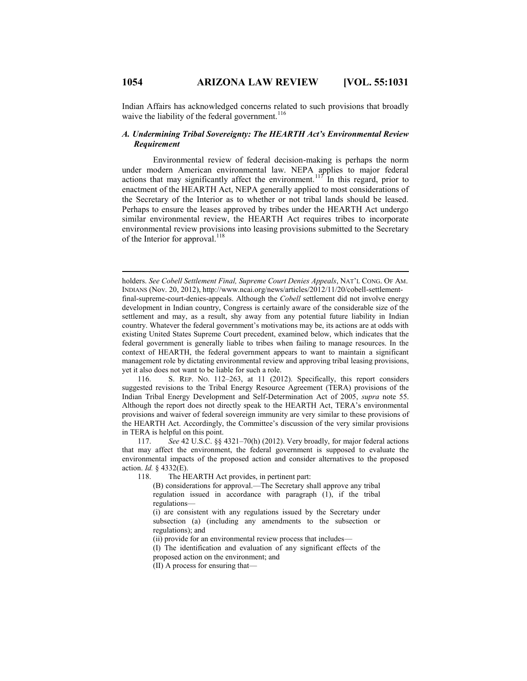Indian Affairs has acknowledged concerns related to such provisions that broadly waive the liability of the federal government.<sup>116</sup>

#### *A. Undermining Tribal Sovereignty: The HEARTH Act's Environmental Review Requirement*

Environmental review of federal decision-making is perhaps the norm under modern American environmental law. NEPA applies to major federal actions that may significantly affect the environment.<sup>117</sup> In this regard, prior to enactment of the HEARTH Act, NEPA generally applied to most considerations of the Secretary of the Interior as to whether or not tribal lands should be leased. Perhaps to ensure the leases approved by tribes under the HEARTH Act undergo similar environmental review, the HEARTH Act requires tribes to incorporate environmental review provisions into leasing provisions submitted to the Secretary of the Interior for approval.  $^{118}$ 

holders. *See Cobell Settlement Final, Supreme Court Denies Appeals*, NAT'L CONG. OF AM. INDIANS (Nov. 20, 2012), http://www.ncai.org/news/articles/2012/11/20/cobell-settlementfinal-supreme-court-denies-appeals. Although the *Cobell* settlement did not involve energy development in Indian country, Congress is certainly aware of the considerable size of the settlement and may, as a result, shy away from any potential future liability in Indian country. Whatever the federal government's motivations may be, its actions are at odds with existing United States Supreme Court precedent, examined below, which indicates that the federal government is generally liable to tribes when failing to manage resources. In the context of HEARTH, the federal government appears to want to maintain a significant management role by dictating environmental review and approving tribal leasing provisions, yet it also does not want to be liable for such a role.

116. S. REP. NO. 112–263, at 11 (2012). Specifically, this report considers suggested revisions to the Tribal Energy Resource Agreement (TERA) provisions of the Indian Tribal Energy Development and Self-Determination Act of 2005, *supra* note 55. Although the report does not directly speak to the HEARTH Act, TERA's environmental provisions and waiver of federal sovereign immunity are very similar to these provisions of the HEARTH Act. Accordingly, the Committee's discussion of the very similar provisions in TERA is helpful on this point.

117. *See* 42 U.S.C. §§ 4321–70(h) (2012). Very broadly, for major federal actions that may affect the environment, the federal government is supposed to evaluate the environmental impacts of the proposed action and consider alternatives to the proposed action. *Id.* § 4332(E).

118. The HEARTH Act provides, in pertinent part:

(B) considerations for approval.—The Secretary shall approve any tribal regulation issued in accordance with paragraph (1), if the tribal regulations—

(i) are consistent with any regulations issued by the Secretary under subsection (a) (including any amendments to the subsection or regulations); and

(ii) provide for an environmental review process that includes—

(I) The identification and evaluation of any significant effects of the proposed action on the environment; and

(II) A process for ensuring that—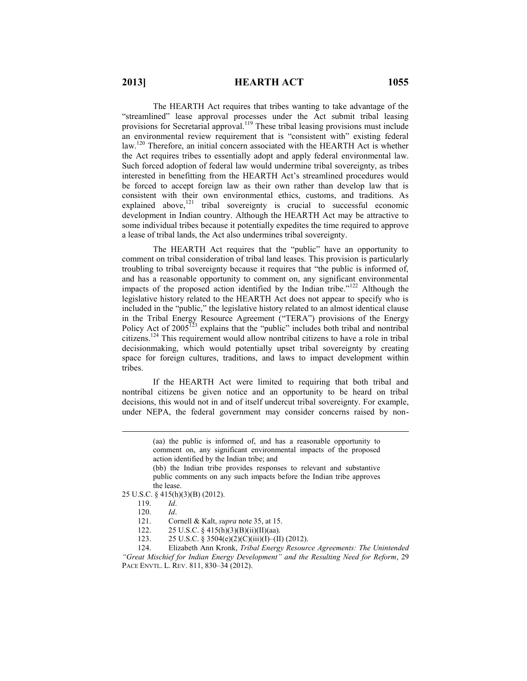# **2013] HEARTH ACT 1055**

The HEARTH Act requires that tribes wanting to take advantage of the "streamlined" lease approval processes under the Act submit tribal leasing provisions for Secretarial approval.<sup>119</sup> These tribal leasing provisions must include an environmental review requirement that is "consistent with" existing federal law.<sup>120</sup> Therefore, an initial concern associated with the HEARTH Act is whether the Act requires tribes to essentially adopt and apply federal environmental law. Such forced adoption of federal law would undermine tribal sovereignty, as tribes interested in benefitting from the HEARTH Act's streamlined procedures would be forced to accept foreign law as their own rather than develop law that is consistent with their own environmental ethics, customs, and traditions. As explained above,<sup>121</sup> tribal sovereignty is crucial to successful economic development in Indian country. Although the HEARTH Act may be attractive to some individual tribes because it potentially expedites the time required to approve a lease of tribal lands, the Act also undermines tribal sovereignty.

The HEARTH Act requires that the "public" have an opportunity to comment on tribal consideration of tribal land leases. This provision is particularly troubling to tribal sovereignty because it requires that "the public is informed of, and has a reasonable opportunity to comment on, any significant environmental impacts of the proposed action identified by the Indian tribe."<sup>122</sup> Although the legislative history related to the HEARTH Act does not appear to specify who is included in the "public," the legislative history related to an almost identical clause in the Tribal Energy Resource Agreement ("TERA") provisions of the Energy Policy Act of  $2005^{123}$  explains that the "public" includes both tribal and nontribal citizens.<sup>124</sup> This requirement would allow nontribal citizens to have a role in tribal decisionmaking, which would potentially upset tribal sovereignty by creating space for foreign cultures, traditions, and laws to impact development within tribes.

If the HEARTH Act were limited to requiring that both tribal and nontribal citizens be given notice and an opportunity to be heard on tribal decisions, this would not in and of itself undercut tribal sovereignty. For example, under NEPA, the federal government may consider concerns raised by non-

 $\overline{a}$ 

124. Elizabeth Ann Kronk, *Tribal Energy Resource Agreements: The Unintended "Great Mischief for Indian Energy Development" and the Resulting Need for Reform*, 29 PACE ENVTL. L. REV. 811, 830–34 (2012).

<sup>(</sup>aa) the public is informed of, and has a reasonable opportunity to comment on, any significant environmental impacts of the proposed action identified by the Indian tribe; and

<sup>(</sup>bb) the Indian tribe provides responses to relevant and substantive public comments on any such impacts before the Indian tribe approves the lease.

<sup>25</sup> U.S.C. § 415(h)(3)(B) (2012).

<sup>119.</sup> *Id*.

<sup>120.</sup> *Id*.

<sup>121.</sup> Cornell & Kalt, *supra* note 35, at 15.

<sup>122. 25</sup> U.S.C. § 415(h)(3)(B)(ii)(II)(aa).

<sup>123. 25</sup> U.S.C. § 3504(e)(2)(C)(iii)(I)–(II) (2012).<br>124. Elizabeth Ann Kronk, Tribal Energy Resourc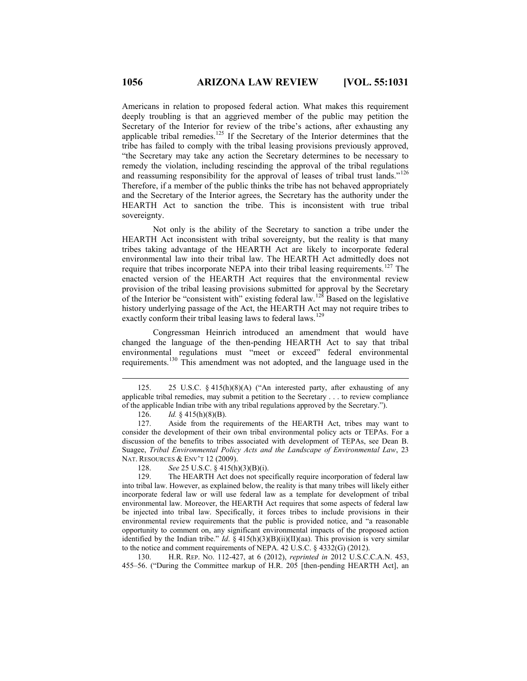Americans in relation to proposed federal action. What makes this requirement deeply troubling is that an aggrieved member of the public may petition the Secretary of the Interior for review of the tribe's actions, after exhausting any applicable tribal remedies.<sup>125</sup> If the Secretary of the Interior determines that the tribe has failed to comply with the tribal leasing provisions previously approved, "the Secretary may take any action the Secretary determines to be necessary to remedy the violation, including rescinding the approval of the tribal regulations and reassuming responsibility for the approval of leases of tribal trust lands."<sup>126</sup> Therefore, if a member of the public thinks the tribe has not behaved appropriately and the Secretary of the Interior agrees, the Secretary has the authority under the HEARTH Act to sanction the tribe. This is inconsistent with true tribal sovereignty.

Not only is the ability of the Secretary to sanction a tribe under the HEARTH Act inconsistent with tribal sovereignty, but the reality is that many tribes taking advantage of the HEARTH Act are likely to incorporate federal environmental law into their tribal law. The HEARTH Act admittedly does not require that tribes incorporate NEPA into their tribal leasing requirements.<sup>127</sup> The enacted version of the HEARTH Act requires that the environmental review provision of the tribal leasing provisions submitted for approval by the Secretary of the Interior be "consistent with" existing federal law.<sup>128</sup> Based on the legislative history underlying passage of the Act, the HEARTH Act may not require tribes to exactly conform their tribal leasing laws to federal laws.<sup>129</sup>

Congressman Heinrich introduced an amendment that would have changed the language of the then-pending HEARTH Act to say that tribal environmental regulations must "meet or exceed" federal environmental requirements.<sup>130</sup> This amendment was not adopted, and the language used in the

126. *Id.* § 415(h)(8)(B).

 $\overline{a}$ 

128. *See* 25 U.S.C. § 415(h)(3)(B)(i).

130. H.R. REP. NO. 112-427, at 6 (2012), *reprinted in* 2012 U.S.C.C.A.N. 453, 455–56. ("During the Committee markup of H.R. 205 [then-pending HEARTH Act], an

<sup>125.</sup> 25 U.S.C. § 415(h)(8)(A) ("An interested party, after exhausting of any applicable tribal remedies, may submit a petition to the Secretary . . . to review compliance of the applicable Indian tribe with any tribal regulations approved by the Secretary.").

<sup>127.</sup> Aside from the requirements of the HEARTH Act, tribes may want to consider the development of their own tribal environmental policy acts or TEPAs. For a discussion of the benefits to tribes associated with development of TEPAs, see Dean B. Suagee, *Tribal Environmental Policy Acts and the Landscape of Environmental Law*, 23 NAT. RESOURCES & ENV'T 12 (2009).

<sup>129.</sup> The HEARTH Act does not specifically require incorporation of federal law into tribal law. However, as explained below, the reality is that many tribes will likely either incorporate federal law or will use federal law as a template for development of tribal environmental law. Moreover, the HEARTH Act requires that some aspects of federal law be injected into tribal law. Specifically, it forces tribes to include provisions in their environmental review requirements that the public is provided notice, and "a reasonable opportunity to comment on, any significant environmental impacts of the proposed action identified by the Indian tribe." *Id*. § 415(h)(3)(B)(ii)(II)(aa). This provision is very similar to the notice and comment requirements of NEPA. 42 U.S.C. § 4332(G) (2012).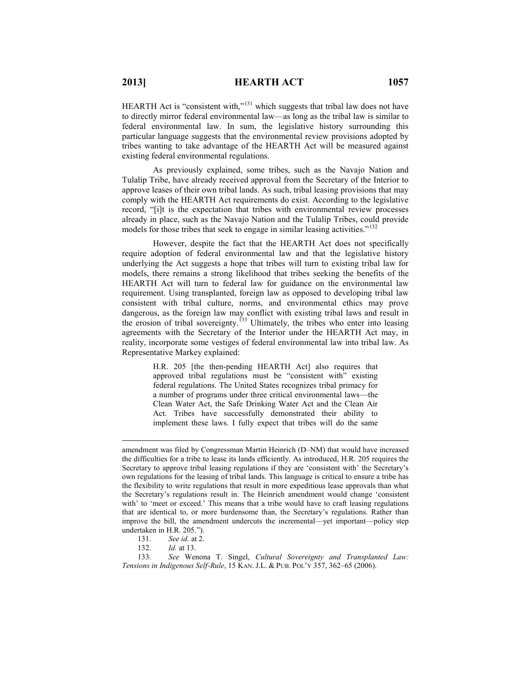HEARTH Act is "consistent with,"<sup>131</sup> which suggests that tribal law does not have to directly mirror federal environmental law—as long as the tribal law is similar to federal environmental law. In sum, the legislative history surrounding this particular language suggests that the environmental review provisions adopted by tribes wanting to take advantage of the HEARTH Act will be measured against existing federal environmental regulations.

As previously explained, some tribes, such as the Navajo Nation and Tulalip Tribe, have already received approval from the Secretary of the Interior to approve leases of their own tribal lands. As such, tribal leasing provisions that may comply with the HEARTH Act requirements do exist. According to the legislative record, "[i]t is the expectation that tribes with environmental review processes already in place, such as the Navajo Nation and the Tulalip Tribes, could provide models for those tribes that seek to engage in similar leasing activities."<sup>13</sup>

However, despite the fact that the HEARTH Act does not specifically require adoption of federal environmental law and that the legislative history underlying the Act suggests a hope that tribes will turn to existing tribal law for models, there remains a strong likelihood that tribes seeking the benefits of the HEARTH Act will turn to federal law for guidance on the environmental law requirement. Using transplanted, foreign law as opposed to developing tribal law consistent with tribal culture, norms, and environmental ethics may prove dangerous, as the foreign law may conflict with existing tribal laws and result in the erosion of tribal sovereignty.<sup>133</sup> Ultimately, the tribes who enter into leasing agreements with the Secretary of the Interior under the HEARTH Act may, in reality, incorporate some vestiges of federal environmental law into tribal law. As Representative Markey explained:

> H.R. 205 [the then-pending HEARTH Act] also requires that approved tribal regulations must be "consistent with" existing federal regulations. The United States recognizes tribal primacy for a number of programs under three critical environmental laws—the Clean Water Act, the Safe Drinking Water Act and the Clean Air Act. Tribes have successfully demonstrated their ability to implement these laws. I fully expect that tribes will do the same

amendment was filed by Congressman Martin Heinrich (D–NM) that would have increased the difficulties for a tribe to lease its lands efficiently. As introduced, H.R. 205 requires the Secretary to approve tribal leasing regulations if they are 'consistent with' the Secretary's own regulations for the leasing of tribal lands. This language is critical to ensure a tribe has the flexibility to write regulations that result in more expeditious lease approvals than what the Secretary's regulations result in. The Heinrich amendment would change 'consistent with' to 'meet or exceed.' This means that a tribe would have to craft leasing regulations that are identical to, or more burdensome than, the Secretary's regulations. Rather than improve the bill, the amendment undercuts the incremental—yet important—policy step undertaken in H.R. 205.").

<sup>131.</sup> *See id.* at 2.<br>132. *Id.* at 13. *Id.* at 13.

<sup>133.</sup> *See* Wenona T. Singel, *Cultural Sovereignty and Transplanted Law: Tensions in Indigenous Self-Rule*, 15 KAN. J.L. & PUB. POL'Y 357, 362–65 (2006).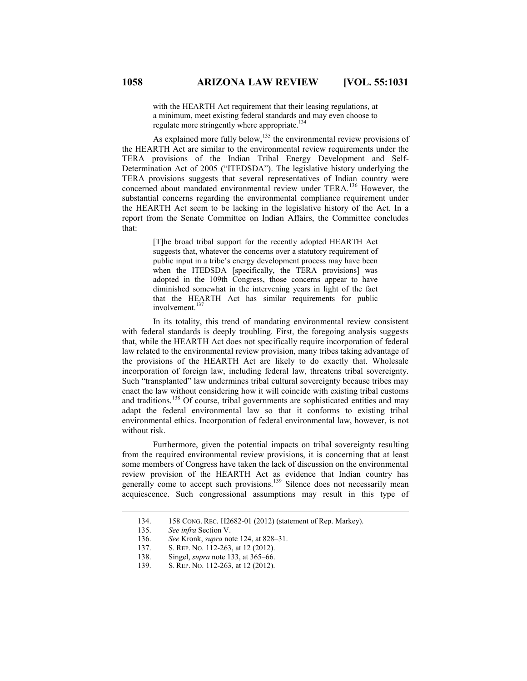with the HEARTH Act requirement that their leasing regulations, at a minimum, meet existing federal standards and may even choose to regulate more stringently where appropriate.<sup>134</sup>

As explained more fully below,<sup>135</sup> the environmental review provisions of the HEARTH Act are similar to the environmental review requirements under the TERA provisions of the Indian Tribal Energy Development and Self-Determination Act of 2005 ("ITEDSDA"). The legislative history underlying the TERA provisions suggests that several representatives of Indian country were concerned about mandated environmental review under TERA.<sup>136</sup> However, the substantial concerns regarding the environmental compliance requirement under the HEARTH Act seem to be lacking in the legislative history of the Act. In a report from the Senate Committee on Indian Affairs, the Committee concludes that:

> [T]he broad tribal support for the recently adopted HEARTH Act suggests that, whatever the concerns over a statutory requirement of public input in a tribe's energy development process may have been when the ITEDSDA [specifically, the TERA provisions] was adopted in the 109th Congress, those concerns appear to have diminished somewhat in the intervening years in light of the fact that the HEARTH Act has similar requirements for public involvement. $137$

In its totality, this trend of mandating environmental review consistent with federal standards is deeply troubling. First, the foregoing analysis suggests that, while the HEARTH Act does not specifically require incorporation of federal law related to the environmental review provision, many tribes taking advantage of the provisions of the HEARTH Act are likely to do exactly that. Wholesale incorporation of foreign law, including federal law, threatens tribal sovereignty. Such "transplanted" law undermines tribal cultural sovereignty because tribes may enact the law without considering how it will coincide with existing tribal customs and traditions.<sup>138</sup> Of course, tribal governments are sophisticated entities and may adapt the federal environmental law so that it conforms to existing tribal environmental ethics. Incorporation of federal environmental law, however, is not without risk.

Furthermore, given the potential impacts on tribal sovereignty resulting from the required environmental review provisions, it is concerning that at least some members of Congress have taken the lack of discussion on the environmental review provision of the HEARTH Act as evidence that Indian country has generally come to accept such provisions.<sup>139</sup> Silence does not necessarily mean acquiescence. Such congressional assumptions may result in this type of

<sup>134.</sup> 158 CONG. REC. H2682-01 (2012) (statement of Rep. Markey).

<sup>135.</sup> *See infra* Section V.

<sup>136.</sup> *See* Kronk, *supra* note 124, at 828–31.

<sup>137.</sup> S. REP. NO. 112-263, at 12 (2012).

<sup>138.</sup> Singel, *supra* note 133, at 365–66.

<sup>139.</sup> S. REP. NO. 112-263, at 12 (2012).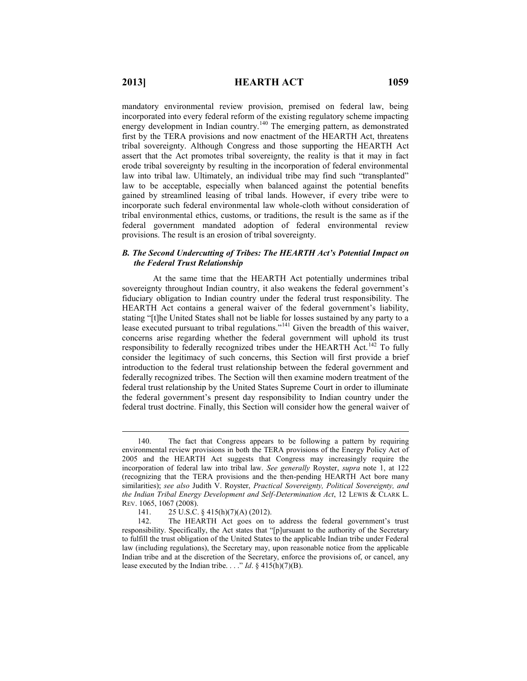mandatory environmental review provision, premised on federal law, being incorporated into every federal reform of the existing regulatory scheme impacting energy development in Indian country.<sup>140</sup> The emerging pattern, as demonstrated first by the TERA provisions and now enactment of the HEARTH Act, threatens tribal sovereignty. Although Congress and those supporting the HEARTH Act assert that the Act promotes tribal sovereignty, the reality is that it may in fact erode tribal sovereignty by resulting in the incorporation of federal environmental law into tribal law. Ultimately, an individual tribe may find such "transplanted" law to be acceptable, especially when balanced against the potential benefits gained by streamlined leasing of tribal lands. However, if every tribe were to incorporate such federal environmental law whole-cloth without consideration of tribal environmental ethics, customs, or traditions, the result is the same as if the federal government mandated adoption of federal environmental review provisions. The result is an erosion of tribal sovereignty.

#### *B. The Second Undercutting of Tribes: The HEARTH Act's Potential Impact on the Federal Trust Relationship*

At the same time that the HEARTH Act potentially undermines tribal sovereignty throughout Indian country, it also weakens the federal government's fiduciary obligation to Indian country under the federal trust responsibility. The HEARTH Act contains a general waiver of the federal government's liability, stating "[t]he United States shall not be liable for losses sustained by any party to a lease executed pursuant to tribal regulations."<sup>141</sup> Given the breadth of this waiver, concerns arise regarding whether the federal government will uphold its trust responsibility to federally recognized tribes under the HEARTH Act.<sup>142</sup> To fully consider the legitimacy of such concerns, this Section will first provide a brief introduction to the federal trust relationship between the federal government and federally recognized tribes. The Section will then examine modern treatment of the federal trust relationship by the United States Supreme Court in order to illuminate the federal government's present day responsibility to Indian country under the federal trust doctrine. Finally, this Section will consider how the general waiver of

<sup>140.</sup> The fact that Congress appears to be following a pattern by requiring environmental review provisions in both the TERA provisions of the Energy Policy Act of 2005 and the HEARTH Act suggests that Congress may increasingly require the incorporation of federal law into tribal law. *See generally* Royster, *supra* note 1, at 122 (recognizing that the TERA provisions and the then-pending HEARTH Act bore many similarities); *see also* Judith V. Royster, *Practical Sovereignty, Political Sovereignty, and the Indian Tribal Energy Development and Self-Determination Act*, 12 LEWIS & CLARK L. REV. 1065, 1067 (2008).

<sup>141. 25</sup> U.S.C. § 415(h)(7)(A) (2012).<br>142. The HEARTH Act goes on to

The HEARTH Act goes on to address the federal government's trust responsibility. Specifically, the Act states that "[p]ursuant to the authority of the Secretary to fulfill the trust obligation of the United States to the applicable Indian tribe under Federal law (including regulations), the Secretary may, upon reasonable notice from the applicable Indian tribe and at the discretion of the Secretary, enforce the provisions of, or cancel, any lease executed by the Indian tribe. . . ." *Id*. § 415(h)(7)(B).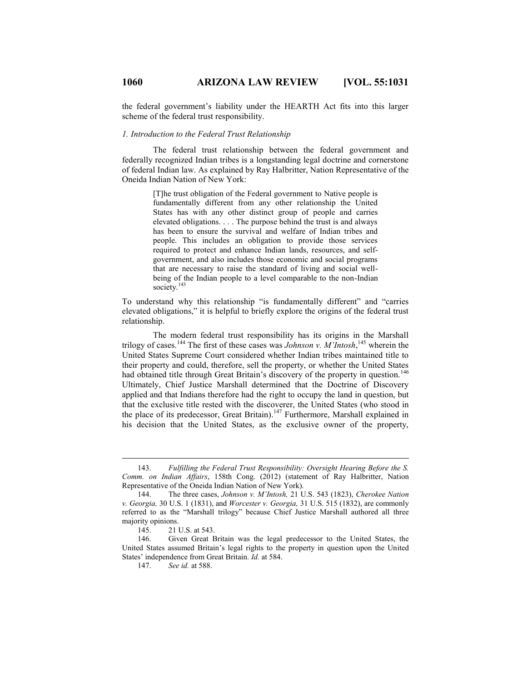the federal government's liability under the HEARTH Act fits into this larger scheme of the federal trust responsibility.

#### *1. Introduction to the Federal Trust Relationship*

The federal trust relationship between the federal government and federally recognized Indian tribes is a longstanding legal doctrine and cornerstone of federal Indian law. As explained by Ray Halbritter, Nation Representative of the Oneida Indian Nation of New York:

> [T]he trust obligation of the Federal government to Native people is fundamentally different from any other relationship the United States has with any other distinct group of people and carries elevated obligations. . . . The purpose behind the trust is and always has been to ensure the survival and welfare of Indian tribes and people. This includes an obligation to provide those services required to protect and enhance Indian lands, resources, and selfgovernment, and also includes those economic and social programs that are necessary to raise the standard of living and social wellbeing of the Indian people to a level comparable to the non-Indian society.<sup>143</sup>

To understand why this relationship "is fundamentally different" and "carries elevated obligations," it is helpful to briefly explore the origins of the federal trust relationship.

The modern federal trust responsibility has its origins in the Marshall trilogy of cases.<sup>144</sup> The first of these cases was *Johnson v. M'Intosh*, <sup>145</sup> wherein the United States Supreme Court considered whether Indian tribes maintained title to their property and could, therefore, sell the property, or whether the United States had obtained title through Great Britain's discovery of the property in question.<sup>146</sup> Ultimately, Chief Justice Marshall determined that the Doctrine of Discovery applied and that Indians therefore had the right to occupy the land in question, but that the exclusive title rested with the discoverer, the United States (who stood in the place of its predecessor, Great Britain).<sup>147</sup> Furthermore, Marshall explained in his decision that the United States, as the exclusive owner of the property,

<sup>143.</sup> *Fulfilling the Federal Trust Responsibility: Oversight Hearing Before the S. Comm. on Indian Affairs*, 158th Cong. (2012) (statement of Ray Halbritter, Nation Representative of the Oneida Indian Nation of New York).

<sup>144.</sup> The three cases, *Johnson v. M'Intosh,* 21 U.S. 543 (1823), *Cherokee Nation v. Georgia,* 30 U.S. 1 (1831), and *Worcester v. Georgia,* 31 U.S. 515 (1832), are commonly referred to as the "Marshall trilogy" because Chief Justice Marshall authored all three majority opinions.

<sup>145. 21</sup> U.S. at 543.<br>146. Given Great E

Given Great Britain was the legal predecessor to the United States, the United States assumed Britain's legal rights to the property in question upon the United States' independence from Great Britain. *Id.* at 584.

<sup>147.</sup> *See id.* at 588.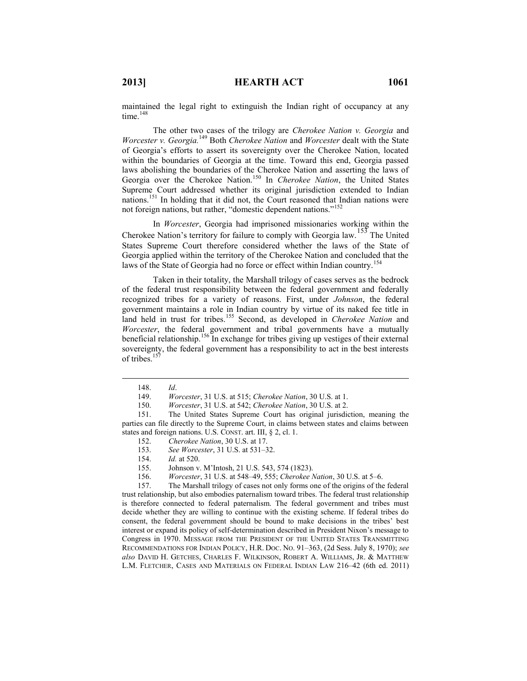maintained the legal right to extinguish the Indian right of occupancy at any time $148$ 

The other two cases of the trilogy are *Cherokee Nation v. Georgia* and *Worcester v. Georgia.*<sup>149</sup> Both *Cherokee Nation* and *Worcester* dealt with the State of Georgia's efforts to assert its sovereignty over the Cherokee Nation, located within the boundaries of Georgia at the time. Toward this end, Georgia passed laws abolishing the boundaries of the Cherokee Nation and asserting the laws of Georgia over the Cherokee Nation.<sup>150</sup> In *Cherokee Nation*, the United States Supreme Court addressed whether its original jurisdiction extended to Indian nations.<sup>151</sup> In holding that it did not, the Court reasoned that Indian nations were not foreign nations, but rather, "domestic dependent nations."<sup>152</sup>

In *Worcester*, Georgia had imprisoned missionaries working within the Cherokee Nation's territory for failure to comply with Georgia law.<sup>153</sup> The United States Supreme Court therefore considered whether the laws of the State of Georgia applied within the territory of the Cherokee Nation and concluded that the laws of the State of Georgia had no force or effect within Indian country.<sup>154</sup>

Taken in their totality, the Marshall trilogy of cases serves as the bedrock of the federal trust responsibility between the federal government and federally recognized tribes for a variety of reasons. First, under *Johnson*, the federal government maintains a role in Indian country by virtue of its naked fee title in land held in trust for tribes.<sup>155</sup> Second, as developed in *Cherokee Nation* and *Worcester*, the federal government and tribal governments have a mutually beneficial relationship.<sup>156</sup> In exchange for tribes giving up vestiges of their external sovereignty, the federal government has a responsibility to act in the best interests of tribes. $15$ 

 $\overline{a}$ 

- 152. *Cherokee Nation*, 30 U.S. at 17.
- 153. *See Worcester*, 31 U.S. at 531–32.
- 154. *Id.* at 520.
- 155. Johnson v. M'Intosh, 21 U.S. 543, 574 (1823).
- 156. *Worcester*, 31 U.S. at 548–49, 555; *Cherokee Nation*, 30 U.S. at 5–6.

157. The Marshall trilogy of cases not only forms one of the origins of the federal trust relationship, but also embodies paternalism toward tribes. The federal trust relationship is therefore connected to federal paternalism. The federal government and tribes must decide whether they are willing to continue with the existing scheme. If federal tribes do consent, the federal government should be bound to make decisions in the tribes' best interest or expand its policy of self-determination described in President Nixon's message to Congress in 1970. MESSAGE FROM THE PRESIDENT OF THE UNITED STATES TRANSMITTING RECOMMENDATIONS FOR INDIAN POLICY, H.R. DOC. NO. 91–363, (2d Sess. July 8, 1970); *see also* DAVID H. GETCHES, CHARLES F. WILKINSON, ROBERT A. WILLIAMS, JR. & MATTHEW L.M. FLETCHER, CASES AND MATERIALS ON FEDERAL INDIAN LAW 216–42 (6th ed. 2011)

<sup>148.</sup> *Id*.

<sup>149.</sup> *Worcester*, 31 U.S. at 515; *Cherokee Nation*, 30 U.S. at 1.

<sup>150.</sup> *Worcester*, 31 U.S. at 542; *Cherokee Nation*, 30 U.S. at 2.

<sup>151.</sup> The United States Supreme Court has original jurisdiction, meaning the parties can file directly to the Supreme Court, in claims between states and claims between states and foreign nations. U.S. CONST. art. III, § 2, cl. 1.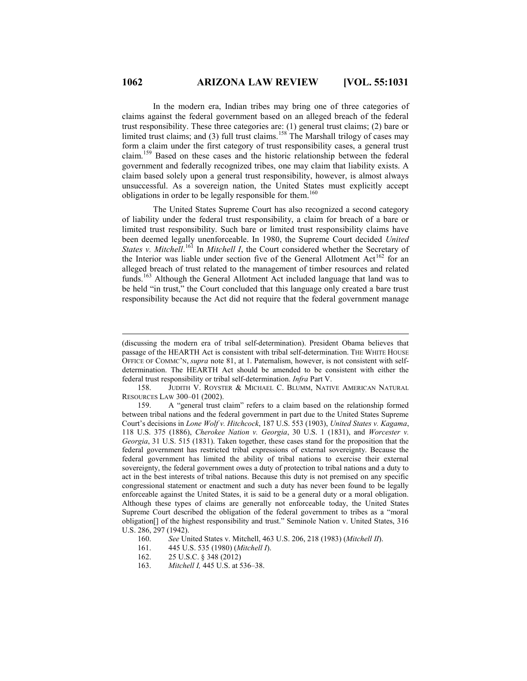In the modern era, Indian tribes may bring one of three categories of claims against the federal government based on an alleged breach of the federal trust responsibility. These three categories are: (1) general trust claims; (2) bare or limited trust claims; and (3) full trust claims.<sup>158</sup> The Marshall trilogy of cases may form a claim under the first category of trust responsibility cases, a general trust claim.<sup>159</sup> Based on these cases and the historic relationship between the federal government and federally recognized tribes, one may claim that liability exists. A claim based solely upon a general trust responsibility, however, is almost always unsuccessful. As a sovereign nation, the United States must explicitly accept obligations in order to be legally responsible for them.<sup>160</sup>

The United States Supreme Court has also recognized a second category of liability under the federal trust responsibility, a claim for breach of a bare or limited trust responsibility. Such bare or limited trust responsibility claims have been deemed legally unenforceable. In 1980, the Supreme Court decided *United States v. Mitchell.*<sup>161</sup> In *Mitchell I*, the Court considered whether the Secretary of the Interior was liable under section five of the General Allotment Act<sup>162</sup> for an alleged breach of trust related to the management of timber resources and related funds.<sup>163</sup> Although the General Allotment Act included language that land was to be held "in trust," the Court concluded that this language only created a bare trust responsibility because the Act did not require that the federal government manage

158. JUDITH V. ROYSTER & MICHAEL C. BLUMM, NATIVE AMERICAN NATURAL RESOURCES LAW 300–01 (2002).

163. *Mitchell I,* 445 U.S. at 536–38.

<sup>(</sup>discussing the modern era of tribal self-determination). President Obama believes that passage of the HEARTH Act is consistent with tribal self-determination. THE WHITE HOUSE OFFICE OF COMMC'N, *supra* note 81, at 1. Paternalism, however, is not consistent with selfdetermination. The HEARTH Act should be amended to be consistent with either the federal trust responsibility or tribal self-determination. *Infra* Part V.

<sup>159.</sup> A "general trust claim" refers to a claim based on the relationship formed between tribal nations and the federal government in part due to the United States Supreme Court's decisions in *Lone Wolf v. Hitchcock*, 187 U.S. 553 (1903), *United States v. Kagama*, 118 U.S. 375 (1886), *Cherokee Nation v. Georgia*, 30 U.S. 1 (1831), and *Worcester v. Georgia*, 31 U.S. 515 (1831). Taken together, these cases stand for the proposition that the federal government has restricted tribal expressions of external sovereignty. Because the federal government has limited the ability of tribal nations to exercise their external sovereignty, the federal government owes a duty of protection to tribal nations and a duty to act in the best interests of tribal nations. Because this duty is not premised on any specific congressional statement or enactment and such a duty has never been found to be legally enforceable against the United States, it is said to be a general duty or a moral obligation. Although these types of claims are generally not enforceable today, the United States Supreme Court described the obligation of the federal government to tribes as a "moral obligation[] of the highest responsibility and trust." Seminole Nation v. United States, 316 U.S. 286, 297 (1942).

<sup>160.</sup> *See* United States v. Mitchell, 463 U.S. 206, 218 (1983) (*Mitchell II*).

<sup>161.</sup> 445 U.S. 535 (1980) (*Mitchell I*).

<sup>162.</sup> 25 U.S.C. § 348 (2012)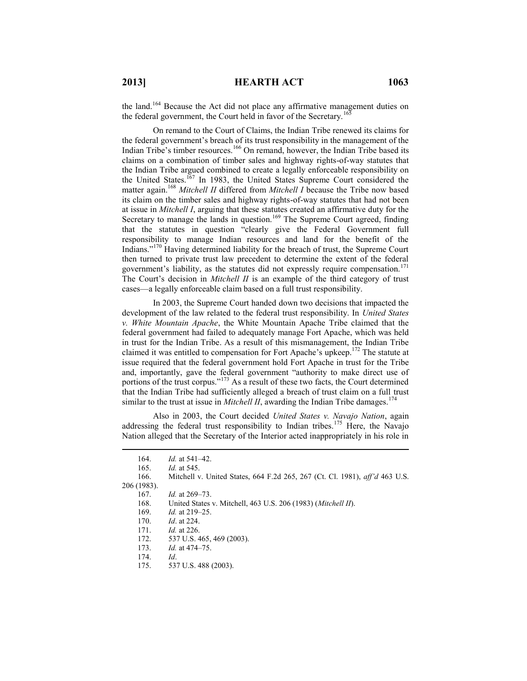$\overline{a}$ 

the land.<sup>164</sup> Because the Act did not place any affirmative management duties on the federal government, the Court held in favor of the Secretary.<sup>165</sup>

On remand to the Court of Claims, the Indian Tribe renewed its claims for the federal government's breach of its trust responsibility in the management of the Indian Tribe's timber resources.<sup>166</sup> On remand, however, the Indian Tribe based its claims on a combination of timber sales and highway rights-of-way statutes that the Indian Tribe argued combined to create a legally enforceable responsibility on the United States.<sup>167</sup> In 1983, the United States Supreme Court considered the matter again.<sup>168</sup> *Mitchell II* differed from *Mitchell I* because the Tribe now based its claim on the timber sales and highway rights-of-way statutes that had not been at issue in *Mitchell I*, arguing that these statutes created an affirmative duty for the Secretary to manage the lands in question.<sup>169</sup> The Supreme Court agreed, finding that the statutes in question "clearly give the Federal Government full responsibility to manage Indian resources and land for the benefit of the Indians."<sup>170</sup> Having determined liability for the breach of trust, the Supreme Court then turned to private trust law precedent to determine the extent of the federal government's liability, as the statutes did not expressly require compensation.<sup>171</sup> The Court's decision in *Mitchell II* is an example of the third category of trust cases—a legally enforceable claim based on a full trust responsibility.

In 2003, the Supreme Court handed down two decisions that impacted the development of the law related to the federal trust responsibility. In *United States v. White Mountain Apache*, the White Mountain Apache Tribe claimed that the federal government had failed to adequately manage Fort Apache, which was held in trust for the Indian Tribe. As a result of this mismanagement, the Indian Tribe claimed it was entitled to compensation for Fort Apache's upkeep.<sup>172</sup> The statute at issue required that the federal government hold Fort Apache in trust for the Tribe and, importantly, gave the federal government "authority to make direct use of portions of the trust corpus."<sup>173</sup> As a result of these two facts, the Court determined that the Indian Tribe had sufficiently alleged a breach of trust claim on a full trust similar to the trust at issue in *Mitchell II*, awarding the Indian Tribe damages.<sup>174</sup>

Also in 2003, the Court decided *United States v. Navajo Nation*, again addressing the federal trust responsibility to Indian tribes.<sup>175</sup> Here, the Navajo Nation alleged that the Secretary of the Interior acted inappropriately in his role in

| 164.        | <i>Id.</i> at $541-42$ .                                                           |
|-------------|------------------------------------------------------------------------------------|
| 165.        | <i>Id.</i> at 545.                                                                 |
| 166.        | Mitchell v. United States, 664 F.2d 265, 267 (Ct. Cl. 1981), <i>aff'd</i> 463 U.S. |
| 206 (1983). |                                                                                    |
| 167.        | <i>Id.</i> at 269–73.                                                              |
| 168.        | United States v. Mitchell, 463 U.S. 206 (1983) ( <i>Mitchell II</i> ).             |
| 169.        | <i>Id.</i> at 219–25.                                                              |
| 170.        | <i>Id.</i> at 224.                                                                 |
| 171.        | <i>Id.</i> at 226.                                                                 |
| 172.        | 537 U.S. 465, 469 (2003).                                                          |
| 173.        | <i>Id.</i> at 474–75.                                                              |
| 174.        | $Id$ .                                                                             |
| 175.        | 537 U.S. 488 (2003).                                                               |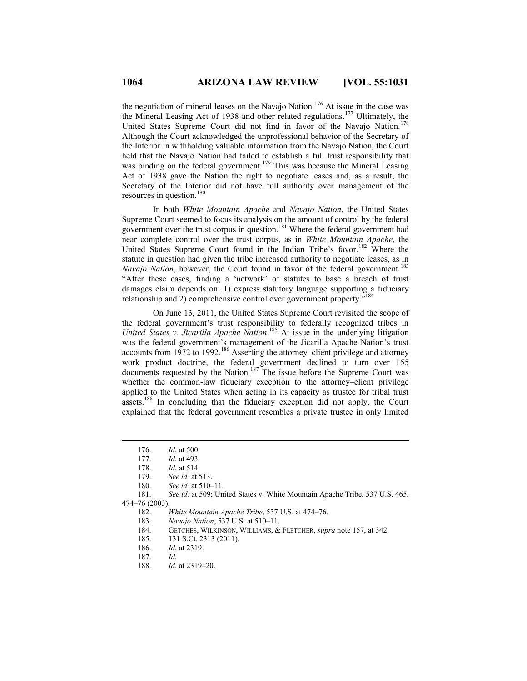the negotiation of mineral leases on the Navajo Nation.<sup>176</sup> At issue in the case was the Mineral Leasing Act of 1938 and other related regulations.<sup>177</sup> Ultimately, the United States Supreme Court did not find in favor of the Navajo Nation.<sup>178</sup> Although the Court acknowledged the unprofessional behavior of the Secretary of the Interior in withholding valuable information from the Navajo Nation, the Court held that the Navajo Nation had failed to establish a full trust responsibility that was binding on the federal government.<sup>179</sup> This was because the Mineral Leasing Act of 1938 gave the Nation the right to negotiate leases and, as a result, the Secretary of the Interior did not have full authority over management of the resources in question.<sup>180</sup>

In both *White Mountain Apache* and *Navajo Nation*, the United States Supreme Court seemed to focus its analysis on the amount of control by the federal government over the trust corpus in question.<sup>181</sup> Where the federal government had near complete control over the trust corpus, as in *White Mountain Apache*, the United States Supreme Court found in the Indian Tribe's favor.<sup>182</sup> Where the statute in question had given the tribe increased authority to negotiate leases, as in *Navajo Nation*, however, the Court found in favor of the federal government.<sup>183</sup> "After these cases, finding a 'network' of statutes to base a breach of trust damages claim depends on: 1) express statutory language supporting a fiduciary relationship and 2) comprehensive control over government property."<sup>184</sup>

On June 13, 2011, the United States Supreme Court revisited the scope of the federal government's trust responsibility to federally recognized tribes in *United States v. Jicarilla Apache Nation*. <sup>185</sup> At issue in the underlying litigation was the federal government's management of the Jicarilla Apache Nation's trust accounts from  $1972$  to  $1992$ .<sup>186</sup> Asserting the attorney–client privilege and attorney work product doctrine, the federal government declined to turn over 155 documents requested by the Nation.<sup>187</sup> The issue before the Supreme Court was whether the common-law fiduciary exception to the attorney–client privilege applied to the United States when acting in its capacity as trustee for tribal trust assets.<sup>188</sup> In concluding that the fiduciary exception did not apply, the Court explained that the federal government resembles a private trustee in only limited

- 186. *Id.* at 2319.
- 187. *Id.*
- 188. *Id.* at 2319–20.

<sup>176.</sup> *Id.* at 500.

*Id.* at 493.

<sup>178.</sup> *Id.* at 514.

<sup>179.</sup> *See id.* at 513.

<sup>180.</sup> *See id.* at 510–11.

<sup>181.</sup> *See id.* at 509; United States v. White Mountain Apache Tribe, 537 U.S. 465, 474–76 (2003).

<sup>182.</sup> *White Mountain Apache Tribe*, 537 U.S. at 474–76.

<sup>183.</sup> *Navajo Nation*, 537 U.S. at 510–11.

<sup>184.</sup> GETCHES, WILKINSON, WILLIAMS, & FLETCHER, *supra* note 157, at 342.

<sup>185.</sup> 131 S.Ct. 2313 (2011).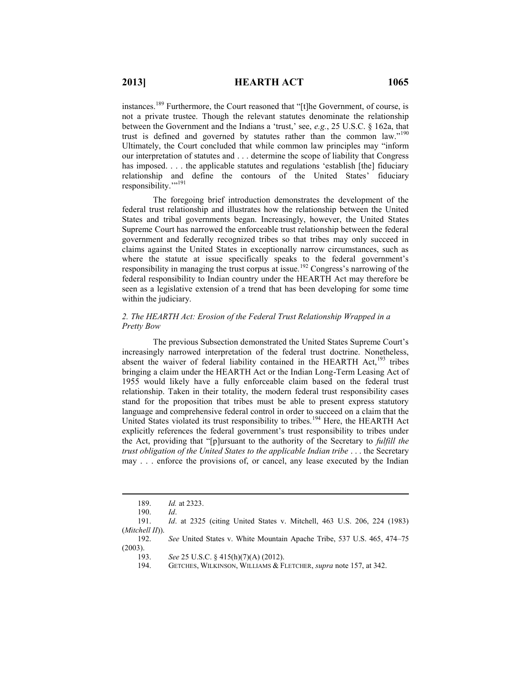instances.<sup>189</sup> Furthermore, the Court reasoned that "[t]he Government, of course, is not a private trustee. Though the relevant statutes denominate the relationship between the Government and the Indians a 'trust,' see, *e.g.*, 25 U.S.C. § 162a, that trust is defined and governed by statutes rather than the common law."<sup>190</sup> Ultimately, the Court concluded that while common law principles may "inform our interpretation of statutes and . . . determine the scope of liability that Congress has imposed. . . . the applicable statutes and regulations 'establish [the] fiduciary relationship and define the contours of the United States' fiduciary responsibility."<sup>191</sup>

The foregoing brief introduction demonstrates the development of the federal trust relationship and illustrates how the relationship between the United States and tribal governments began. Increasingly, however, the United States Supreme Court has narrowed the enforceable trust relationship between the federal government and federally recognized tribes so that tribes may only succeed in claims against the United States in exceptionally narrow circumstances, such as where the statute at issue specifically speaks to the federal government's responsibility in managing the trust corpus at issue.<sup>192</sup> Congress's narrowing of the federal responsibility to Indian country under the HEARTH Act may therefore be seen as a legislative extension of a trend that has been developing for some time within the judiciary.

## *2. The HEARTH Act: Erosion of the Federal Trust Relationship Wrapped in a Pretty Bow*

The previous Subsection demonstrated the United States Supreme Court's increasingly narrowed interpretation of the federal trust doctrine. Nonetheless, absent the waiver of federal liability contained in the HEARTH Act, $193$  tribes bringing a claim under the HEARTH Act or the Indian Long-Term Leasing Act of 1955 would likely have a fully enforceable claim based on the federal trust relationship. Taken in their totality, the modern federal trust responsibility cases stand for the proposition that tribes must be able to present express statutory language and comprehensive federal control in order to succeed on a claim that the United States violated its trust responsibility to tribes.<sup>194</sup> Here, the HEARTH Act explicitly references the federal government's trust responsibility to tribes under the Act, providing that "[p]ursuant to the authority of the Secretary to *fulfill the trust obligation of the United States to the applicable Indian tribe* . . . the Secretary may . . . enforce the provisions of, or cancel, any lease executed by the Indian

 $\overline{a}$ 

192. *See* United States v. White Mountain Apache Tribe, 537 U.S. 465, 474–75 (2003).

<sup>189.</sup> *Id.* at 2323.

<sup>190.</sup> *Id*.

<sup>191.</sup> *Id*. at 2325 (citing United States v. Mitchell, 463 U.S. 206, 224 (1983) (*Mitchell II*)).

<sup>193.</sup> *See* 25 U.S.C. § 415(h)(7)(A) (2012).

<sup>194.</sup> GETCHES, WILKINSON, WILLIAMS & FLETCHER, *supra* note 157, at 342.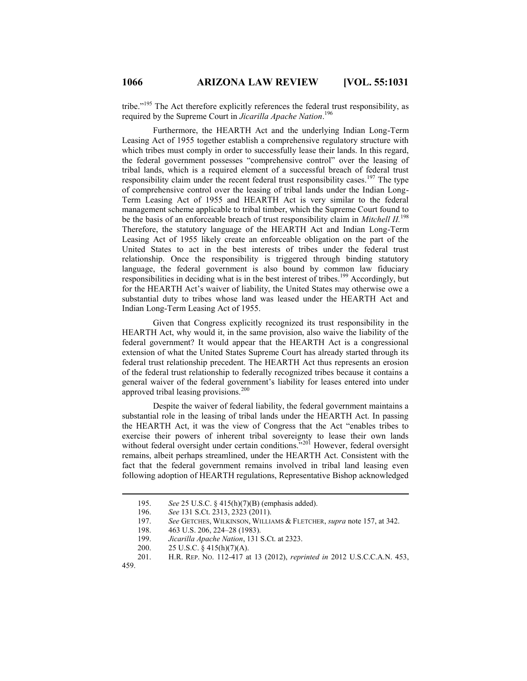tribe."<sup>195</sup> The Act therefore explicitly references the federal trust responsibility, as required by the Supreme Court in *Jicarilla Apache Nation*. 196

Furthermore, the HEARTH Act and the underlying Indian Long-Term Leasing Act of 1955 together establish a comprehensive regulatory structure with which tribes must comply in order to successfully lease their lands. In this regard, the federal government possesses "comprehensive control" over the leasing of tribal lands, which is a required element of a successful breach of federal trust responsibility claim under the recent federal trust responsibility cases.<sup>197</sup> The type of comprehensive control over the leasing of tribal lands under the Indian Long-Term Leasing Act of 1955 and HEARTH Act is very similar to the federal management scheme applicable to tribal timber, which the Supreme Court found to be the basis of an enforceable breach of trust responsibility claim in *Mitchell II.*<sup>198</sup> Therefore, the statutory language of the HEARTH Act and Indian Long-Term Leasing Act of 1955 likely create an enforceable obligation on the part of the United States to act in the best interests of tribes under the federal trust relationship. Once the responsibility is triggered through binding statutory language, the federal government is also bound by common law fiduciary responsibilities in deciding what is in the best interest of tribes.<sup>199</sup> Accordingly, but for the HEARTH Act's waiver of liability, the United States may otherwise owe a substantial duty to tribes whose land was leased under the HEARTH Act and Indian Long-Term Leasing Act of 1955.

Given that Congress explicitly recognized its trust responsibility in the HEARTH Act, why would it, in the same provision, also waive the liability of the federal government? It would appear that the HEARTH Act is a congressional extension of what the United States Supreme Court has already started through its federal trust relationship precedent. The HEARTH Act thus represents an erosion of the federal trust relationship to federally recognized tribes because it contains a general waiver of the federal government's liability for leases entered into under approved tribal leasing provisions.<sup>200</sup>

Despite the waiver of federal liability, the federal government maintains a substantial role in the leasing of tribal lands under the HEARTH Act. In passing the HEARTH Act, it was the view of Congress that the Act "enables tribes to exercise their powers of inherent tribal sovereignty to lease their own lands without federal oversight under certain conditions.<sup>201</sup> However, federal oversight remains, albeit perhaps streamlined, under the HEARTH Act. Consistent with the fact that the federal government remains involved in tribal land leasing even following adoption of HEARTH regulations, Representative Bishop acknowledged

<sup>195.</sup> *See* 25 U.S.C. § 415(h)(7)(B) (emphasis added).

<sup>196.</sup> *See* 131 S.Ct. 2313, 2323 (2011).

<sup>197.</sup> *See* GETCHES, WILKINSON, WILLIAMS & FLETCHER, *supra* note 157, at 342.

<sup>198.</sup> 463 U.S. 206, 224–28 (1983).

<sup>199.</sup> *Jicarilla Apache Nation*, 131 S.Ct. at 2323.

<sup>200.</sup> 25 U.S.C. § 415(h)(7)(A).

<sup>201.</sup> H.R. REP. NO. 112-417 at 13 (2012), *reprinted in* 2012 U.S.C.C.A.N. 453, 459.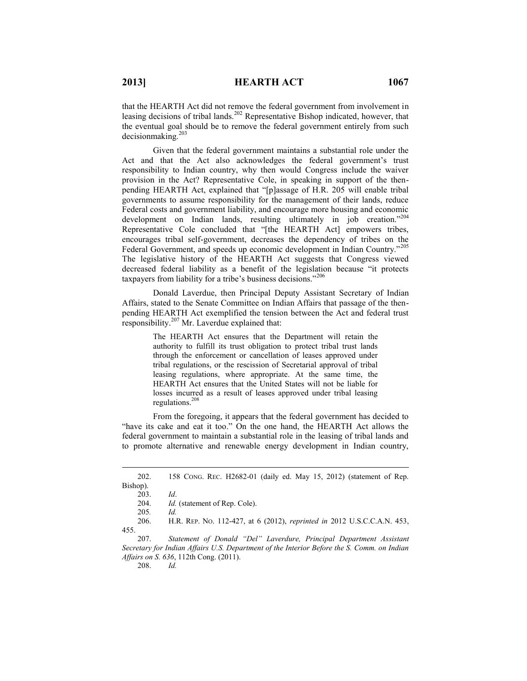that the HEARTH Act did not remove the federal government from involvement in leasing decisions of tribal lands.<sup>202</sup> Representative Bishop indicated, however, that the eventual goal should be to remove the federal government entirely from such decisionmaking.<sup>203</sup>

Given that the federal government maintains a substantial role under the Act and that the Act also acknowledges the federal government's trust responsibility to Indian country, why then would Congress include the waiver provision in the Act? Representative Cole, in speaking in support of the thenpending HEARTH Act, explained that "[p]assage of H.R. 205 will enable tribal governments to assume responsibility for the management of their lands, reduce Federal costs and government liability, and encourage more housing and economic development on Indian lands, resulting ultimately in job creation."<sup>204</sup> Representative Cole concluded that "[the HEARTH Act] empowers tribes, encourages tribal self-government, decreases the dependency of tribes on the Federal Government, and speeds up economic development in Indian Country."<sup>205</sup> The legislative history of the HEARTH Act suggests that Congress viewed decreased federal liability as a benefit of the legislation because "it protects taxpayers from liability for a tribe's business decisions."206

Donald Laverdue, then Principal Deputy Assistant Secretary of Indian Affairs, stated to the Senate Committee on Indian Affairs that passage of the thenpending HEARTH Act exemplified the tension between the Act and federal trust responsibility.<sup>207</sup> Mr. Laverdue explained that:

> The HEARTH Act ensures that the Department will retain the authority to fulfill its trust obligation to protect tribal trust lands through the enforcement or cancellation of leases approved under tribal regulations, or the rescission of Secretarial approval of tribal leasing regulations, where appropriate. At the same time, the HEARTH Act ensures that the United States will not be liable for losses incurred as a result of leases approved under tribal leasing regulations.<sup>208</sup>

From the foregoing, it appears that the federal government has decided to "have its cake and eat it too." On the one hand, the HEARTH Act allows the federal government to maintain a substantial role in the leasing of tribal lands and to promote alternative and renewable energy development in Indian country,

 $\overline{a}$ 

206. H.R. REP. NO. 112-427, at 6 (2012), *reprinted in* 2012 U.S.C.C.A.N. 453, 455.

207. *Statement of Donald "Del" Laverdure, Principal Department Assistant Secretary for Indian Affairs U.S. Department of the Interior Before the S. Comm. on Indian Affairs on S. 636*, 112th Cong. (2011).

208. *Id.*

<sup>202.</sup> 158 CONG. REC. H2682-01 (daily ed. May 15, 2012) (statement of Rep. Bishop).

<sup>203.</sup> *Id*.

<sup>204.</sup> *Id.* (statement of Rep. Cole).

<sup>205</sup>*. Id.*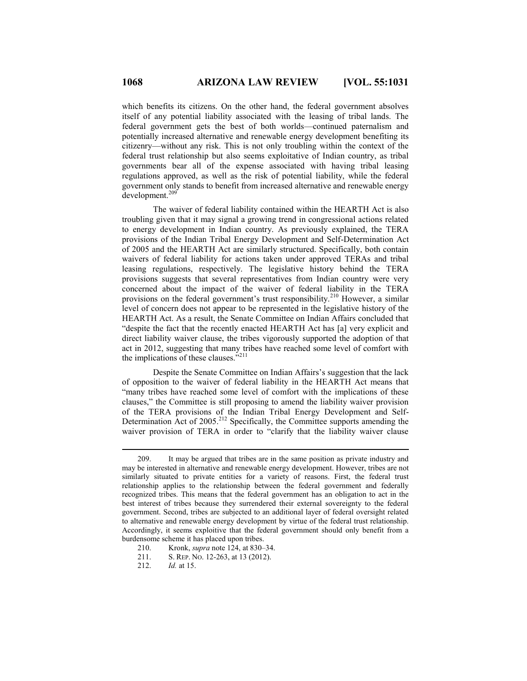which benefits its citizens. On the other hand, the federal government absolves itself of any potential liability associated with the leasing of tribal lands. The federal government gets the best of both worlds—continued paternalism and potentially increased alternative and renewable energy development benefiting its citizenry—without any risk. This is not only troubling within the context of the federal trust relationship but also seems exploitative of Indian country, as tribal governments bear all of the expense associated with having tribal leasing regulations approved, as well as the risk of potential liability, while the federal government only stands to benefit from increased alternative and renewable energy development.<sup>209</sup>

The waiver of federal liability contained within the HEARTH Act is also troubling given that it may signal a growing trend in congressional actions related to energy development in Indian country. As previously explained, the TERA provisions of the Indian Tribal Energy Development and Self-Determination Act of 2005 and the HEARTH Act are similarly structured. Specifically, both contain waivers of federal liability for actions taken under approved TERAs and tribal leasing regulations, respectively. The legislative history behind the TERA provisions suggests that several representatives from Indian country were very concerned about the impact of the waiver of federal liability in the TERA provisions on the federal government's trust responsibility.<sup>210</sup> However, a similar level of concern does not appear to be represented in the legislative history of the HEARTH Act. As a result, the Senate Committee on Indian Affairs concluded that "despite the fact that the recently enacted HEARTH Act has [a] very explicit and direct liability waiver clause, the tribes vigorously supported the adoption of that act in 2012, suggesting that many tribes have reached some level of comfort with the implications of these clauses."<sup>211</sup>

Despite the Senate Committee on Indian Affairs's suggestion that the lack of opposition to the waiver of federal liability in the HEARTH Act means that "many tribes have reached some level of comfort with the implications of these clauses," the Committee is still proposing to amend the liability waiver provision of the TERA provisions of the Indian Tribal Energy Development and Self-Determination Act of 2005.<sup>212</sup> Specifically, the Committee supports amending the waiver provision of TERA in order to "clarify that the liability waiver clause

<sup>209.</sup> It may be argued that tribes are in the same position as private industry and may be interested in alternative and renewable energy development. However, tribes are not similarly situated to private entities for a variety of reasons. First, the federal trust relationship applies to the relationship between the federal government and federally recognized tribes. This means that the federal government has an obligation to act in the best interest of tribes because they surrendered their external sovereignty to the federal government. Second, tribes are subjected to an additional layer of federal oversight related to alternative and renewable energy development by virtue of the federal trust relationship. Accordingly, it seems exploitive that the federal government should only benefit from a burdensome scheme it has placed upon tribes.

<sup>210.</sup> Kronk, *supra* note 124, at 830–34.

<sup>211.</sup> S. REP. NO. 12-263, at 13 (2012).

<sup>212.</sup> *Id.* at 15.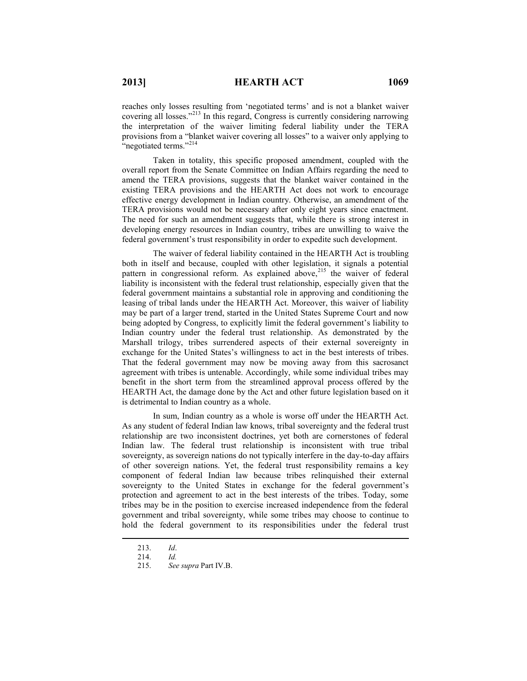reaches only losses resulting from 'negotiated terms' and is not a blanket waiver covering all losses."<sup>213</sup> In this regard, Congress is currently considering narrowing the interpretation of the waiver limiting federal liability under the TERA provisions from a "blanket waiver covering all losses" to a waiver only applying to "negotiated terms."<sup>214</sup>

Taken in totality, this specific proposed amendment, coupled with the overall report from the Senate Committee on Indian Affairs regarding the need to amend the TERA provisions, suggests that the blanket waiver contained in the existing TERA provisions and the HEARTH Act does not work to encourage effective energy development in Indian country. Otherwise, an amendment of the TERA provisions would not be necessary after only eight years since enactment. The need for such an amendment suggests that, while there is strong interest in developing energy resources in Indian country, tribes are unwilling to waive the federal government's trust responsibility in order to expedite such development.

The waiver of federal liability contained in the HEARTH Act is troubling both in itself and because, coupled with other legislation, it signals a potential pattern in congressional reform. As explained above,<sup>215</sup> the waiver of federal liability is inconsistent with the federal trust relationship, especially given that the federal government maintains a substantial role in approving and conditioning the leasing of tribal lands under the HEARTH Act. Moreover, this waiver of liability may be part of a larger trend, started in the United States Supreme Court and now being adopted by Congress, to explicitly limit the federal government's liability to Indian country under the federal trust relationship. As demonstrated by the Marshall trilogy, tribes surrendered aspects of their external sovereignty in exchange for the United States's willingness to act in the best interests of tribes. That the federal government may now be moving away from this sacrosanct agreement with tribes is untenable. Accordingly, while some individual tribes may benefit in the short term from the streamlined approval process offered by the HEARTH Act, the damage done by the Act and other future legislation based on it is detrimental to Indian country as a whole.

In sum, Indian country as a whole is worse off under the HEARTH Act. As any student of federal Indian law knows, tribal sovereignty and the federal trust relationship are two inconsistent doctrines, yet both are cornerstones of federal Indian law. The federal trust relationship is inconsistent with true tribal sovereignty, as sovereign nations do not typically interfere in the day-to-day affairs of other sovereign nations. Yet, the federal trust responsibility remains a key component of federal Indian law because tribes relinquished their external sovereignty to the United States in exchange for the federal government's protection and agreement to act in the best interests of the tribes. Today, some tribes may be in the position to exercise increased independence from the federal government and tribal sovereignty, while some tribes may choose to continue to hold the federal government to its responsibilities under the federal trust

<sup>213.</sup> *Id*.

<sup>214.</sup> *Id.*

<sup>215.</sup> *See supra* Part IV.B.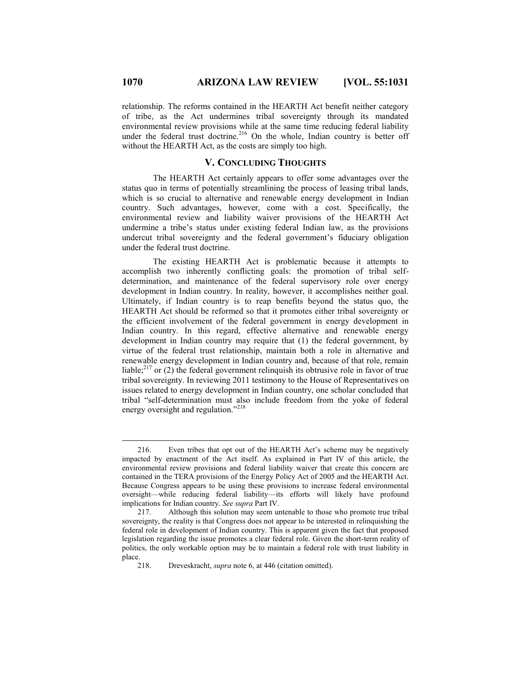relationship. The reforms contained in the HEARTH Act benefit neither category of tribe, as the Act undermines tribal sovereignty through its mandated environmental review provisions while at the same time reducing federal liability under the federal trust doctrine.<sup>216</sup> On the whole, Indian country is better off without the HEARTH Act, as the costs are simply too high.

# **V. CONCLUDING THOUGHTS**

The HEARTH Act certainly appears to offer some advantages over the status quo in terms of potentially streamlining the process of leasing tribal lands, which is so crucial to alternative and renewable energy development in Indian country. Such advantages, however, come with a cost. Specifically, the environmental review and liability waiver provisions of the HEARTH Act undermine a tribe's status under existing federal Indian law, as the provisions undercut tribal sovereignty and the federal government's fiduciary obligation under the federal trust doctrine.

The existing HEARTH Act is problematic because it attempts to accomplish two inherently conflicting goals: the promotion of tribal selfdetermination, and maintenance of the federal supervisory role over energy development in Indian country. In reality, however, it accomplishes neither goal. Ultimately, if Indian country is to reap benefits beyond the status quo, the HEARTH Act should be reformed so that it promotes either tribal sovereignty or the efficient involvement of the federal government in energy development in Indian country. In this regard, effective alternative and renewable energy development in Indian country may require that (1) the federal government, by virtue of the federal trust relationship, maintain both a role in alternative and renewable energy development in Indian country and, because of that role, remain liable; $^{217}$  or (2) the federal government relinquish its obtrusive role in favor of true tribal sovereignty. In reviewing 2011 testimony to the House of Representatives on issues related to energy development in Indian country, one scholar concluded that tribal "self-determination must also include freedom from the yoke of federal energy oversight and regulation."<sup>218</sup>

<sup>216.</sup> Even tribes that opt out of the HEARTH Act's scheme may be negatively impacted by enactment of the Act itself. As explained in Part IV of this article, the environmental review provisions and federal liability waiver that create this concern are contained in the TERA provisions of the Energy Policy Act of 2005 and the HEARTH Act. Because Congress appears to be using these provisions to increase federal environmental oversight––while reducing federal liability––its efforts will likely have profound implications for Indian country. *See supra* Part IV.

<sup>217.</sup> Although this solution may seem untenable to those who promote true tribal sovereignty, the reality is that Congress does not appear to be interested in relinquishing the federal role in development of Indian country. This is apparent given the fact that proposed legislation regarding the issue promotes a clear federal role. Given the short-term reality of politics, the only workable option may be to maintain a federal role with trust liability in place.

<sup>218.</sup> Dreveskracht, *supra* note 6, at 446 (citation omitted).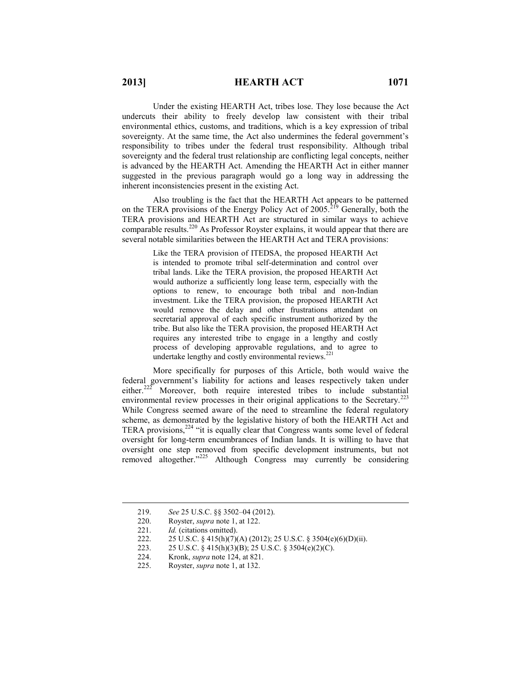Under the existing HEARTH Act, tribes lose. They lose because the Act undercuts their ability to freely develop law consistent with their tribal environmental ethics, customs, and traditions, which is a key expression of tribal sovereignty. At the same time, the Act also undermines the federal government's responsibility to tribes under the federal trust responsibility. Although tribal sovereignty and the federal trust relationship are conflicting legal concepts, neither is advanced by the HEARTH Act. Amending the HEARTH Act in either manner suggested in the previous paragraph would go a long way in addressing the inherent inconsistencies present in the existing Act.

Also troubling is the fact that the HEARTH Act appears to be patterned on the TERA provisions of the Energy Policy Act of  $2005$ .<sup>219</sup> Generally, both the TERA provisions and HEARTH Act are structured in similar ways to achieve comparable results.<sup>220</sup> As Professor Royster explains, it would appear that there are several notable similarities between the HEARTH Act and TERA provisions:

> Like the TERA provision of ITEDSA, the proposed HEARTH Act is intended to promote tribal self-determination and control over tribal lands. Like the TERA provision, the proposed HEARTH Act would authorize a sufficiently long lease term, especially with the options to renew, to encourage both tribal and non-Indian investment. Like the TERA provision, the proposed HEARTH Act would remove the delay and other frustrations attendant on secretarial approval of each specific instrument authorized by the tribe. But also like the TERA provision, the proposed HEARTH Act requires any interested tribe to engage in a lengthy and costly process of developing approvable regulations, and to agree to undertake lengthy and costly environmental reviews. $^{221}$

More specifically for purposes of this Article, both would waive the federal government's liability for actions and leases respectively taken under either.<sup>222</sup> Moreover, both require interested tribes to include substantial environmental review processes in their original applications to the Secretary.<sup>223</sup> While Congress seemed aware of the need to streamline the federal regulatory scheme, as demonstrated by the legislative history of both the HEARTH Act and TERA provisions, $2^{24}$  "it is equally clear that Congress wants some level of federal oversight for long-term encumbrances of Indian lands. It is willing to have that oversight one step removed from specific development instruments, but not removed altogether."<sup>225</sup> Although Congress may currently be considering

<sup>219.</sup> *See* 25 U.S.C. §§ 3502–04 (2012).

<sup>220.</sup> Royster, *supra* note 1, at 122.<br>221. *Id.* (citations omitted).

<sup>221.</sup> *Id.* (citations omitted).<br>222. 25 U.S.C. 8 415(h)(7)

<sup>222. 25</sup> U.S.C. § 415(h)(7)(A) (2012); 25 U.S.C. § 3504(e)(6)(D)(ii).<br>223. 25 U.S.C. § 415(h)(3)(B); 25 U.S.C. § 3504(e)(2)(C).

<sup>223.</sup> 25 U.S.C. § 415(h)(3)(B); 25 U.S.C. § 3504(e)(2)(C).

<sup>224.</sup> Kronk, *supra* note 124, at 821.

<sup>225.</sup> Royster, *supra* note 1, at 132.